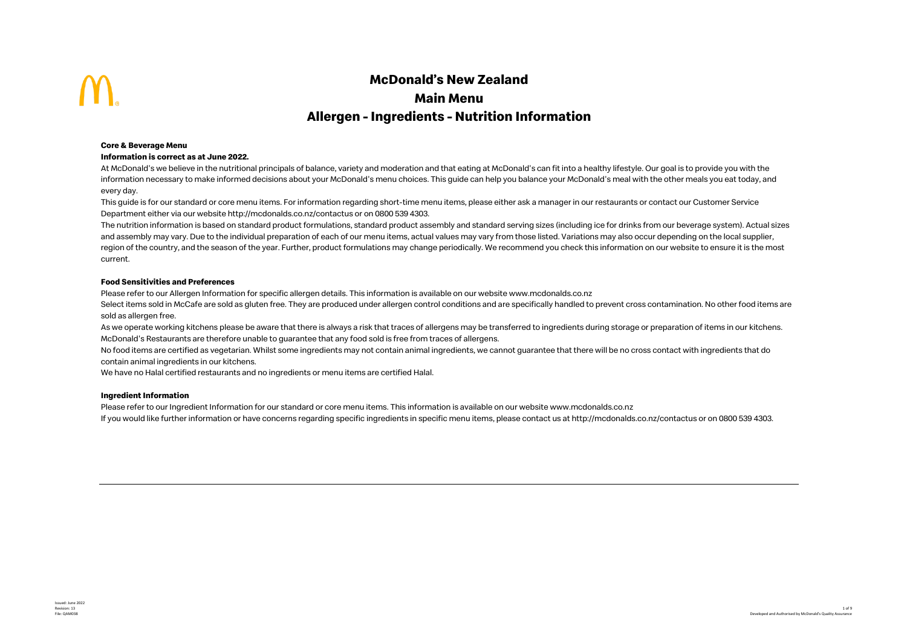# **McDonald's New Zealand Main Menu Allergen - Ingredients - Nutrition Information**

## **Core & Beverage Menu**

### **Information is correct as at June 2022.**

At McDonald's we believe in the nutritional principals of balance, variety and moderation and that eating at McDonald's can fit into a healthy lifestyle. Our goal is to provide you with the information necessary to make informed decisions about your McDonald's menu choices. This guide can help you balance your McDonald's meal with the other meals you eat today, and every day.

This guide is for our standard or core menu items. For information regarding short-time menu items, please either ask a manager in our restaurants or contact our Customer Service Department either via our website http://mcdonalds.co.nz/contactus or on 0800 539 4303.

The nutrition information is based on standard product formulations, standard product assembly and standard serving sizes (including ice for drinks from our beverage system). Actual sizes and assembly may vary. Due to the individual preparation of each of our menu items, actual values may vary from those listed. Variations may also occur depending on the local supplier, region of the country, and the season of the year. Further, product formulations may change periodically. We recommend you check this information on our website to ensure it is the most current.

# **Food Sensitivities and Preferences**

Please refer to our Allergen Information for specific allergen details. This information is available on our website www.mcdonalds.co.nz

Select items sold in McCafe are sold as gluten free. They are produced under allergen control conditions and are specifically handled to prevent cross contamination. No other food items are sold as allergen free.

As we operate working kitchens please be aware that there is always a risk that traces of allergens may be transferred to ingredients during storage or preparation of items in our kitchens. McDonald's Restaurants are therefore unable to guarantee that any food sold is free from traces of allergens.

No food items are certified as vegetarian. Whilst some ingredients may not contain animal ingredients, we cannot guarantee that there will be no cross contact with ingredients that do contain animal ingredients in our kitchens.

We have no Halal certified restaurants and no ingredients or menu items are certified Halal.

# **Ingredient Information**

Please refer to our Ingredient Information for our standard or core menu items. This information is available on our website www.mcdonalds.co.nz

If you would like further information or have concerns regarding specific ingredients in specific menu items, please contact us at http://mcdonalds.co.nz/contactus or on 0800 539 4303.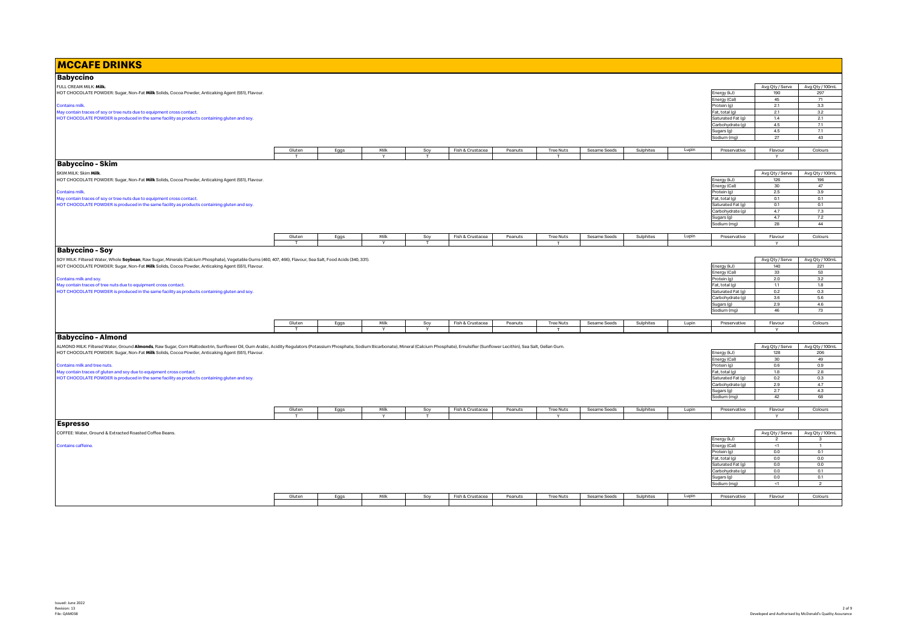| <b>MCCAFE DRINKS</b>                                                                                                                                                                                                           |        |      |        |                   |                  |         |                  |              |           |       |                                     |                        |                 |
|--------------------------------------------------------------------------------------------------------------------------------------------------------------------------------------------------------------------------------|--------|------|--------|-------------------|------------------|---------|------------------|--------------|-----------|-------|-------------------------------------|------------------------|-----------------|
| <b>Babyccino</b>                                                                                                                                                                                                               |        |      |        |                   |                  |         |                  |              |           |       |                                     |                        |                 |
| FULL CREAM MILK: Milk.                                                                                                                                                                                                         |        |      |        |                   |                  |         |                  |              |           |       |                                     | Avg Qty / Serve        | Avg Qty / 100mL |
| HOT CHOCOLATE POWDER: Sugar, Non-Fat Milk Solids, Cocoa Powder, Anticaking Agent (551), Flavour.                                                                                                                               |        |      |        |                   |                  |         |                  |              |           |       | Energy (kJ)                         | 190                    | 297             |
|                                                                                                                                                                                                                                |        |      |        |                   |                  |         |                  |              |           |       | Energy (Cal)                        | 45                     | 71              |
| <b>Contains milk.</b>                                                                                                                                                                                                          |        |      |        |                   |                  |         |                  |              |           |       | Protein (g)                         | 2.1                    | 3.3             |
| May contain traces of soy or tree nuts due to equipment cross contact.                                                                                                                                                         |        |      |        |                   |                  |         |                  |              |           |       | Fat, total (g)                      | 2.1                    | 3.2             |
| HOT CHOCOLATE POWDER is produced in the same facility as products containing gluten and soy.                                                                                                                                   |        |      |        |                   |                  |         |                  |              |           |       | Saturated Fat (g)                   | 1.4                    | 2.1             |
|                                                                                                                                                                                                                                |        |      |        |                   |                  |         |                  |              |           |       | Carbohydrate (g)                    | 4.5                    | 7.1             |
|                                                                                                                                                                                                                                |        |      |        |                   |                  |         |                  |              |           |       | Sugars (g)                          | 4.5                    | 7.1             |
|                                                                                                                                                                                                                                |        |      |        |                   |                  |         |                  |              |           |       | Sodium (mg)                         | 27                     | 43              |
|                                                                                                                                                                                                                                | Gluten | Eggs | Milk   | Soy               | Fish & Crustacea | Peanuts | <b>Tree Nuts</b> | Sesame Seeds | Sulphites | Lupin | Preservative                        | Flavour                | Colours         |
|                                                                                                                                                                                                                                | T      |      | $\vee$ | п.                |                  |         | T.               |              |           |       |                                     | $\vee$                 |                 |
| <b>Babyccino - Skim</b>                                                                                                                                                                                                        |        |      |        |                   |                  |         |                  |              |           |       |                                     |                        |                 |
|                                                                                                                                                                                                                                |        |      |        |                   |                  |         |                  |              |           |       |                                     |                        |                 |
| SKIM MILK: Skim Milk.                                                                                                                                                                                                          |        |      |        |                   |                  |         |                  |              |           |       |                                     | Avg Qty / Serve        | Avg Qty / 100mL |
| HOT CHOCOLATE POWDER: Sugar, Non-Fat Milk Solids, Cocoa Powder, Anticaking Agent (551), Flavour.                                                                                                                               |        |      |        |                   |                  |         |                  |              |           |       | Energy (kJ)                         | 126<br>30 <sub>o</sub> | 196<br>47       |
| <b>Contains milk.</b>                                                                                                                                                                                                          |        |      |        |                   |                  |         |                  |              |           |       | Energy (Cal)<br>Protein (g)         | 2.5                    | 3.9             |
| May contain traces of soy or tree nuts due to equipment cross contact.                                                                                                                                                         |        |      |        |                   |                  |         |                  |              |           |       | Fat, total (g)                      | 0.1                    | 0.1             |
| HOT CHOCOLATE POWDER is produced in the same facility as products containing gluten and soy                                                                                                                                    |        |      |        |                   |                  |         |                  |              |           |       | Saturated Fat (g)                   | 0.1                    | 0.1             |
|                                                                                                                                                                                                                                |        |      |        |                   |                  |         |                  |              |           |       | Carbohydrate (g)                    | 4.7                    | 7.3             |
|                                                                                                                                                                                                                                |        |      |        |                   |                  |         |                  |              |           |       | Sugars (g)                          | 4.7                    | 7.2             |
|                                                                                                                                                                                                                                |        |      |        |                   |                  |         |                  |              |           |       | Sodium (mg)                         | 28                     | 44              |
|                                                                                                                                                                                                                                |        |      |        |                   |                  |         |                  |              |           |       |                                     |                        |                 |
|                                                                                                                                                                                                                                | Gluten | Eggs | Milk   | Soy               | Fish & Crustacea | Peanuts | <b>Tree Nuts</b> | Sesame Seeds | Sulphites | Lupin | Preservative                        | Flavour                | Colours         |
|                                                                                                                                                                                                                                | T      |      | Y      | T                 |                  |         | T                |              |           |       |                                     | Y                      |                 |
| <b>Babyccino - Soy</b>                                                                                                                                                                                                         |        |      |        |                   |                  |         |                  |              |           |       |                                     |                        |                 |
| SOY MILK: Filtered Water, Whole Soybean, Raw Sugar, Minerals (Calcium Phosphate), Vegetable Gums (460, 407, 466), Flavour, Sea Salt, Food Acids (340, 331).                                                                    |        |      |        |                   |                  |         |                  |              |           |       |                                     | Avg Qty / Serve        | Avg Qty / 100mL |
| HOT CHOCOLATE POWDER: Sugar, Non-Fat Milk Solids, Cocoa Powder, Anticaking Agent (551), Flavour.                                                                                                                               |        |      |        |                   |                  |         |                  |              |           |       | Energy (kJ)                         | 140                    | 221             |
|                                                                                                                                                                                                                                |        |      |        |                   |                  |         |                  |              |           |       | Energy (Cal)                        | 33                     | 53              |
| Contains milk and soy.                                                                                                                                                                                                         |        |      |        |                   |                  |         |                  |              |           |       | Protein (g)                         | 2.0                    | 3.2             |
| May contain traces of tree nuts due to equipment cross contact.                                                                                                                                                                |        |      |        |                   |                  |         |                  |              |           |       | Fat, total (g)                      | 1.1                    | 1.8             |
| HOT CHOCOLATE POWDER is produced in the same facility as products containing gluten and soy                                                                                                                                    |        |      |        |                   |                  |         |                  |              |           |       | Saturated Fat (g)                   | 0.2                    | 0.3             |
|                                                                                                                                                                                                                                |        |      |        |                   |                  |         |                  |              |           |       | Carbohydrate (g)                    | 3.6<br>2.9             | 5.6<br>4.6      |
|                                                                                                                                                                                                                                |        |      |        |                   |                  |         |                  |              |           |       | Sugars (g)<br>Sodium (mg)           | 46                     | 73              |
|                                                                                                                                                                                                                                |        |      |        |                   |                  |         |                  |              |           |       |                                     |                        |                 |
|                                                                                                                                                                                                                                | Gluten | Eggs | Milk   | Soy               | Fish & Crustacea | Peanuts | <b>Tree Nuts</b> | Sesame Seeds | Sulphites | Lupin | Preservative                        | Flavour                | Colours         |
|                                                                                                                                                                                                                                | T      |      | Y      | Y                 |                  |         | T                |              |           |       |                                     | Y                      |                 |
| <b>Babyccino - Almond</b>                                                                                                                                                                                                      |        |      |        |                   |                  |         |                  |              |           |       |                                     |                        |                 |
| ALMOND MILK: Filtered Water, Ground Almonds, Raw Sugar, Corn Maltodextrin, Sunflower Oil, Gum Arabic, Acidity Regulators (Potassium Phosphate, Sodium Bicarbonate), Mineral (Calcium Phosphate), Emulsifier (Sunflower Lecithi |        |      |        |                   |                  |         |                  |              |           |       |                                     | Avg Qty / Serve        | Avg Qty / 100mL |
| HOT CHOCOLATE POWDER: Sugar, Non-Fat Milk Solids, Cocoa Powder, Anticaking Agent (551), Flavour.                                                                                                                               |        |      |        |                   |                  |         |                  |              |           |       | Energy (kJ)                         | 128                    | 206             |
|                                                                                                                                                                                                                                |        |      |        |                   |                  |         |                  |              |           |       | Energy (Cal)                        | 30                     | 49              |
| Contains milk and tree nuts.                                                                                                                                                                                                   |        |      |        |                   |                  |         |                  |              |           |       | Protein (g)                         | $0.6\,$                | 0.9             |
| May contain traces of gluten and soy due to equipment cross contact.                                                                                                                                                           |        |      |        |                   |                  |         |                  |              |           |       | Fat, total (g)                      | 1.8                    | 2.8             |
| HOT CHOCOLATE POWDER is produced in the same facility as products containing gluten and soy.                                                                                                                                   |        |      |        |                   |                  |         |                  |              |           |       | Saturated Fat (g)                   | 0.2                    | 0.3             |
|                                                                                                                                                                                                                                |        |      |        |                   |                  |         |                  |              |           |       | Carbohydrate (g)                    | 2.9                    | 4.7             |
|                                                                                                                                                                                                                                |        |      |        |                   |                  |         |                  |              |           |       | Sugars (g)                          | 2.7                    | 4.3             |
|                                                                                                                                                                                                                                |        |      |        |                   |                  |         |                  |              |           |       | Sodium (mg)                         | 42                     | 68              |
|                                                                                                                                                                                                                                | Gluten |      | Milk   |                   |                  | Peanuts | <b>Tree Nuts</b> | Sesame Seeds |           | Lupin |                                     | Flavour                |                 |
|                                                                                                                                                                                                                                | T      | Eggs | Y      | Soy<br>$^{\rm T}$ | Fish & Crustacea |         | $\mathsf{v}$     |              | Sulphites |       | Preservative                        | Y                      | Colours         |
|                                                                                                                                                                                                                                |        |      |        |                   |                  |         |                  |              |           |       |                                     |                        |                 |
| <b>Espresso</b>                                                                                                                                                                                                                |        |      |        |                   |                  |         |                  |              |           |       |                                     |                        |                 |
| COFFEE: Water, Ground & Extracted Roasted Coffee Beans                                                                                                                                                                         |        |      |        |                   |                  |         |                  |              |           |       |                                     | Avg Qty / Serve        | Avg Qty / 100mL |
|                                                                                                                                                                                                                                |        |      |        |                   |                  |         |                  |              |           |       | Energy (kJ)                         | $\overline{2}$         | 3               |
| Contains caffeine.                                                                                                                                                                                                             |        |      |        |                   |                  |         |                  |              |           |       | Energy (Cal)                        | <1                     | $\overline{1}$  |
|                                                                                                                                                                                                                                |        |      |        |                   |                  |         |                  |              |           |       | Protein (g)                         | 0.0<br>0.0             | 0.1<br>0.0      |
|                                                                                                                                                                                                                                |        |      |        |                   |                  |         |                  |              |           |       | Fat, total (g)<br>Saturated Fat (g) | 0.0                    | 0.0             |
|                                                                                                                                                                                                                                |        |      |        |                   |                  |         |                  |              |           |       | Carbohydrate (g)                    | 0.0                    | 0.1             |
|                                                                                                                                                                                                                                |        |      |        |                   |                  |         |                  |              |           |       | Sugars (g)                          | 0.0                    | 0.1             |
|                                                                                                                                                                                                                                |        |      |        |                   |                  |         |                  |              |           |       | Sodium (mg)                         | <1                     | $\overline{2}$  |
|                                                                                                                                                                                                                                |        |      |        |                   |                  |         |                  |              |           |       |                                     |                        |                 |
|                                                                                                                                                                                                                                | Gluten | Eggs | Milk   | Soy               | Fish & Crustacea | Peanuts | <b>Tree Nuts</b> | Sesame Seeds | Sulphites | Lupin | Preservative                        | Flavour                | Colours         |
|                                                                                                                                                                                                                                |        |      |        |                   |                  |         |                  |              |           |       |                                     |                        |                 |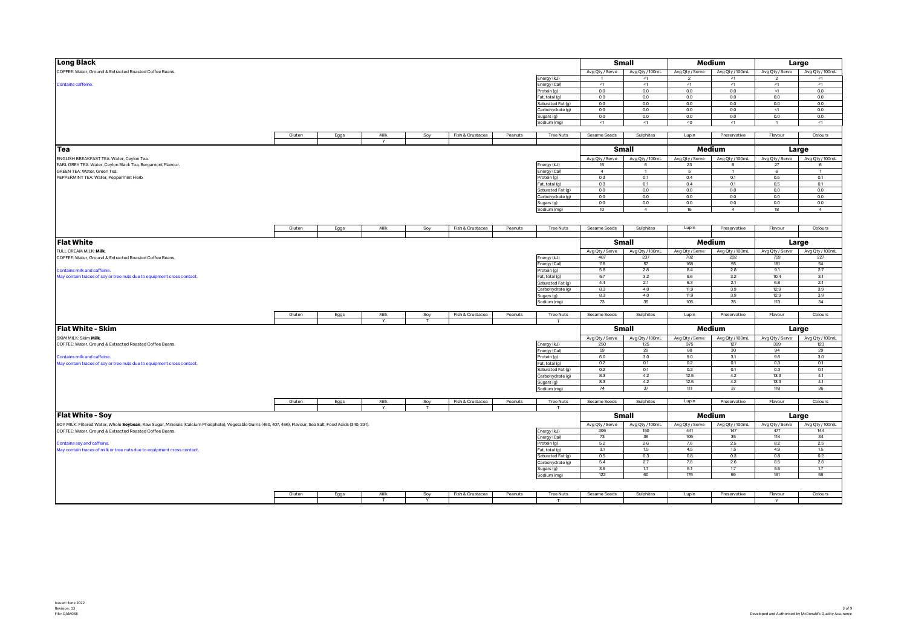| <b>Long Black</b>                                                                                                                                           |        |      |        |                 |                  |         |                                     |                        | <b>Small</b>           |                        | Medium                 |                          | Large                  |
|-------------------------------------------------------------------------------------------------------------------------------------------------------------|--------|------|--------|-----------------|------------------|---------|-------------------------------------|------------------------|------------------------|------------------------|------------------------|--------------------------|------------------------|
| COFFEE: Water, Ground & Extracted Roasted Coffee Beans.                                                                                                     |        |      |        |                 |                  |         |                                     | Avg Qty / Serve        | Avg Qty / 100mL        | Avg Qty / Serve        | Avg Qty / 100mL        | Avg Qty / Serve          | Avg Qty / 100mL        |
|                                                                                                                                                             |        |      |        |                 |                  |         | Energy (kJ)                         |                        | <1                     | $\overline{2}$         | <1                     | $\overline{\phantom{a}}$ | <1                     |
| Contains caffeine.                                                                                                                                          |        |      |        |                 |                  |         | Energy (Cal)                        | $\leq 1$               | $\leq 1$               | <1                     | $<1\,$                 | <1                       | $\leq 1$               |
|                                                                                                                                                             |        |      |        |                 |                  |         | Protein (g)                         | 0.0                    | 0.0                    | 0.0                    | 0.0                    | $<1$                     | 0.0                    |
|                                                                                                                                                             |        |      |        |                 |                  |         | Fat, total (g)                      | 0.0                    | 0.0                    | 0.0                    | 0.0                    | 0.0                      | 0.0                    |
|                                                                                                                                                             |        |      |        |                 |                  |         | Saturated Fat (g)                   | 0.0                    | 0.0                    | 0.0                    | 0.0                    | 0.0                      | 0.0                    |
|                                                                                                                                                             |        |      |        |                 |                  |         | Carbohydrate (g)                    | 0.0                    | 0.0                    | 0.0                    | 0.0                    | <1                       | 0.0                    |
|                                                                                                                                                             |        |      |        |                 |                  |         | Sugars (g)                          | 0.0                    | 0.0                    | 0.0                    | 0.0                    | 0.0                      | 0.0<br>$\leq$ 1        |
|                                                                                                                                                             |        |      |        |                 |                  |         | Sodium (mg)                         | $<1$                   | $\leq 1$               | < 0                    | <1                     |                          |                        |
|                                                                                                                                                             | Gluten | Eggs | Milk   | Soy             | Fish & Crustacea | Peanuts | <b>Tree Nuts</b>                    | Sesame Seeds           | Sulphites              | Lupin                  | Preservative           | Flavour                  | Colours                |
|                                                                                                                                                             |        |      |        |                 |                  |         |                                     |                        |                        |                        |                        |                          |                        |
| Tea                                                                                                                                                         |        |      |        |                 |                  |         |                                     |                        |                        |                        |                        |                          |                        |
|                                                                                                                                                             |        |      |        |                 |                  |         |                                     |                        | Small                  |                        | Medium                 |                          | Large                  |
| ENGLISH BREAKFAST TEA: Water, Ceylon Tea.                                                                                                                   |        |      |        |                 |                  |         |                                     | Avg Qty / Serve        | Avg Qty / 100mL        | Avg Qty / Serve        | Avg Qty / 100mL        | Avg Qty / Serve          | Avg Qty / 100mL        |
| EARL GREY TEA: Water, Ceylon Black Tea, Bergamont Flavour.                                                                                                  |        |      |        |                 |                  |         | Energy (kJ)                         | 16                     | 6                      | 23                     | 6                      | 27                       | $6 \overline{6}$       |
| GREEN TEA: Water, Green Tea.                                                                                                                                |        |      |        |                 |                  |         | Energy (Cal)                        | $\overline{4}$         | $\mathbf{1}$           | 5                      | $\overline{1}$         | 6                        | $\mathbf{1}$           |
| PEPPERMINT TEA: Water, Peppermint Herb.                                                                                                                     |        |      |        |                 |                  |         | Protein (g)                         | 0.3                    | 0.1                    | 0.4                    | 0.1                    | 0.5                      | 0.1                    |
|                                                                                                                                                             |        |      |        |                 |                  |         | Fat, total (g)                      | 0.3                    | 0.1                    | 0.4                    | 0.1                    | 0.5                      | 0.1                    |
|                                                                                                                                                             |        |      |        |                 |                  |         | Saturated Fat (g)                   | 0.0                    | 0.0                    | 0.0                    | $0.0\,$                | 0.0                      | 0.0                    |
|                                                                                                                                                             |        |      |        |                 |                  |         | Carbohydrate (g)                    | 0.0                    | 0.0                    | 0.0                    | 0.0                    | 0.0                      | 0.0                    |
|                                                                                                                                                             |        |      |        |                 |                  |         | Sugars (g)                          | 0.0                    | 0.0                    | 0.0                    | $0.0\,$                | 0.0                      | 0.0                    |
|                                                                                                                                                             |        |      |        |                 |                  |         | Sodium (mg)                         | 10                     | $\overline{4}$         | 15                     | $\overline{4}$         | 18                       | $\overline{4}$         |
|                                                                                                                                                             |        |      |        |                 |                  |         |                                     |                        |                        |                        |                        |                          |                        |
|                                                                                                                                                             | Gluten | Eggs | Milk   | Soy             | Fish & Crustacea | Peanuts | <b>Tree Nuts</b>                    | Sesame Seeds           | Sulphites              | Lupin                  | Preservative           | Flavour                  | Colours                |
|                                                                                                                                                             |        |      |        |                 |                  |         |                                     |                        |                        |                        |                        |                          |                        |
| <b>Flat White</b>                                                                                                                                           |        |      |        |                 |                  |         |                                     |                        | <b>Small</b>           |                        | Medium                 |                          | Large                  |
|                                                                                                                                                             |        |      |        |                 |                  |         |                                     |                        |                        |                        |                        |                          |                        |
| FULL CREAM MILK: Milk.                                                                                                                                      |        |      |        |                 |                  |         |                                     | Avg Qty / Serve        | Avg Qty / 100mL        | Avg Qty / Serve        | Avg Qty / 100mL        | Avg Qty / Serve          | Avg Qty / 100mL        |
| COFFEE: Water, Ground & Extracted Roasted Coffee Beans.                                                                                                     |        |      |        |                 |                  |         | Energy (kJ)                         | 487                    | 237                    | 702                    | 232                    | 759                      | 227                    |
| Contains milk and caffeine.                                                                                                                                 |        |      |        |                 |                  |         | Energy (Cal)                        | 116<br>5.8             | 57<br>2.8              | 168<br>8.4             | 55<br>2.8              | 181<br>9.1               | 54<br>2.7              |
|                                                                                                                                                             |        |      |        |                 |                  |         | Protein (g)                         | 6.7                    | 3.2                    | 9.6                    | 3.2                    | 10.4                     | 3.1                    |
| May contain traces of soy or tree nuts due to equipment cross contact.                                                                                      |        |      |        |                 |                  |         | Fat, total (g)                      | 4.4                    | 2.1                    | 6.3                    | 2.1                    | 6.8                      | 2.1                    |
|                                                                                                                                                             |        |      |        |                 |                  |         | Saturated Fat (g)                   | 8.3                    | 4.0                    | 11.9                   | 3.9                    | 12.9                     | 3.9                    |
|                                                                                                                                                             |        |      |        |                 |                  |         | Carbohydrate (g)                    | 8.3                    | 4.0                    | 11.9                   | 3.9                    | 12.9                     | 3.9                    |
|                                                                                                                                                             |        |      |        |                 |                  |         | Sugars (g)                          | 73                     | 35                     | 105                    | 35                     | 113                      | 34                     |
|                                                                                                                                                             |        |      |        |                 |                  |         | Sodium (mg)                         |                        |                        |                        |                        |                          |                        |
|                                                                                                                                                             | Gluten | Eggs | Milk   | Soy             | Fish & Crustacea | Peanuts | <b>Tree Nuts</b>                    | Sesame Seeds           | Sulphites              | Lupin                  | Preservative           | Flavour                  | Colours                |
|                                                                                                                                                             |        |      | $\vee$ | $^{\mathrm{T}}$ |                  |         | T.                                  |                        |                        |                        |                        |                          |                        |
| Flat White - Skim                                                                                                                                           |        |      |        |                 |                  |         |                                     |                        | Small                  |                        | Medium                 |                          | Large                  |
| SKIM MILK: Skim Milk.                                                                                                                                       |        |      |        |                 |                  |         |                                     |                        |                        |                        |                        |                          |                        |
|                                                                                                                                                             |        |      |        |                 |                  |         |                                     | Avg Qty / Serve<br>250 | Avg Qty / 100mL<br>125 | Avg Qty / Serve<br>375 | Avg Qty / 100mL<br>127 | Avg Qty / Serve<br>399   | Avg Qty / 100mL<br>123 |
| COFFEE: Water, Ground & Extracted Roasted Coffee Beans.                                                                                                     |        |      |        |                 |                  |         | Energy (kJ)                         | 59                     | 29                     | 88                     | 30                     | 94                       | 29                     |
|                                                                                                                                                             |        |      |        |                 |                  |         | Energy (Cal)                        | 6.0                    | 3.0                    | 9.0                    | 3.1                    | 9.6                      | 3.0                    |
| Contains milk and caffeine.                                                                                                                                 |        |      |        |                 |                  |         | Protein (g)                         | 0.2                    | 0.1                    |                        |                        | 0.3                      | 0.1                    |
| May contain traces of soy or tree nuts due to equipment cross contact.                                                                                      |        |      |        |                 |                  |         | Fat, total (g)<br>Saturated Fat (g) | 0.2                    | 0.1                    | 0.2<br>0.2             | 0.1<br>0.1             | 0.3                      | 0.1                    |
|                                                                                                                                                             |        |      |        |                 |                  |         | Carbohydrate (g)                    | 8.3                    | 4.2                    | 12.5                   | 4.2                    | 13.3                     | 4.1                    |
|                                                                                                                                                             |        |      |        |                 |                  |         | Sugars (g)                          | 8.3                    | 4.2                    | 12.5                   | 4.2                    | 13.3                     | 4.1                    |
|                                                                                                                                                             |        |      |        |                 |                  |         | Sodium (mg)                         | 74                     | 37                     | 111                    | 37                     | 118                      | 36                     |
|                                                                                                                                                             |        |      |        |                 |                  |         |                                     |                        |                        |                        |                        |                          |                        |
|                                                                                                                                                             | Gluten | Eggs | Milk   | Soy             | Fish & Crustacea | Peanuts | <b>Tree Nuts</b>                    | Sesame Seeds           | Sulphites              | Lupin                  | Preservative           | Flavour                  | Colours                |
|                                                                                                                                                             |        |      | Y      | T.              |                  |         | T                                   |                        |                        |                        |                        |                          |                        |
| <b>Flat White - Soy</b>                                                                                                                                     |        |      |        |                 |                  |         |                                     |                        | Small                  |                        | Medium                 |                          | Large                  |
|                                                                                                                                                             |        |      |        |                 |                  |         |                                     |                        |                        |                        |                        |                          | Avg Qty / 100mL        |
| SOY MILK: Filtered Water, Whole Soybean, Raw Sugar, Minerals (Calcium Phosphate), Vegetable Gums (460, 407, 466), Flavour, Sea Salt, Food Acids (340, 331). |        |      |        |                 |                  |         |                                     | Avg Qty / Serve<br>306 | Avg Qty / 100mL<br>150 | Avg Qty / Serve<br>441 | Avg Qty / 100mL<br>147 | Avg Qty / Serve<br>477   | 144                    |
| COFFEE: Water, Ground & Extracted Roasted Coffee Beans.                                                                                                     |        |      |        |                 |                  |         | Energy (kJ)<br>Energy (Cal)         | 73                     | 36                     | 105                    | 35                     | 114                      | 34                     |
| Contains soy and caffeine.                                                                                                                                  |        |      |        |                 |                  |         | Protein (g)                         | 5.2                    | 2.6                    | 7.6                    | 2.5                    | 8.2                      | 2.5                    |
| May contain traces of milk or tree nuts due to equipment cross contact.                                                                                     |        |      |        |                 |                  |         | Fat, total (g)                      | 3.1                    | 1.5                    | 4.5                    | 1.5                    | 4.9                      | 1.5                    |
|                                                                                                                                                             |        |      |        |                 |                  |         | Saturated Fat (g)                   | 0.5                    | 0.3                    | 0.8                    | 0.3                    | 0.8                      | 0.2                    |
|                                                                                                                                                             |        |      |        |                 |                  |         | Carbohydrate (g)                    | 5.4                    | 2.7                    | 7.8                    | 2.6                    | 8.5                      | 2.6                    |
|                                                                                                                                                             |        |      |        |                 |                  |         | Sugars (g)                          | 3.5                    | 1.7                    | 5.1                    | 1.7                    | 5.5                      | 1.7                    |
|                                                                                                                                                             |        |      |        |                 |                  |         | Sodium (mg)                         | 122                    | 60                     | 176                    | 59                     | 191                      | 58                     |
|                                                                                                                                                             |        |      |        |                 |                  |         |                                     |                        |                        |                        |                        |                          |                        |
|                                                                                                                                                             |        |      |        |                 |                  |         |                                     |                        |                        |                        |                        |                          |                        |
|                                                                                                                                                             | Gluten | Eggs | Milk   | Soy             | Fish & Crustacea | Peanuts | <b>Tree Nuts</b>                    | Sesame Seeds           | Sulphites              | Lupin                  | Preservative           | Flavour                  | Colours                |
|                                                                                                                                                             |        |      |        | Y               |                  |         | т                                   |                        |                        |                        |                        | Y                        |                        |
|                                                                                                                                                             |        |      |        |                 |                  |         |                                     |                        |                        |                        |                        |                          |                        |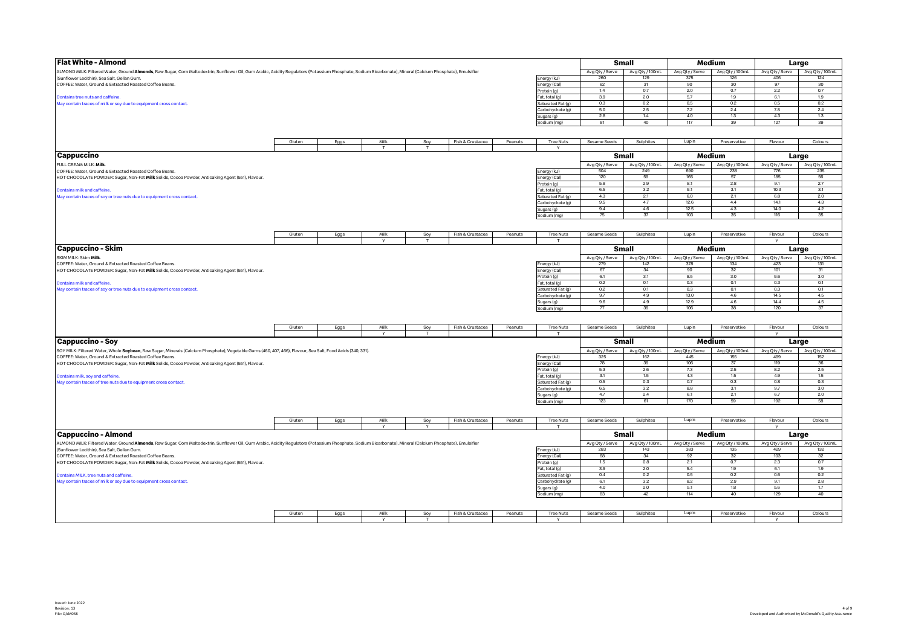| <b>Flat White - Almond</b>                                                                                                                                                                                          |        |      |      |     |                  |         |                                       |                 | <b>Small</b>    |                 | Medium          |                 | Large           |
|---------------------------------------------------------------------------------------------------------------------------------------------------------------------------------------------------------------------|--------|------|------|-----|------------------|---------|---------------------------------------|-----------------|-----------------|-----------------|-----------------|-----------------|-----------------|
| ALMOND MILK: Filtered Water, Ground <b>Almonds</b> , Raw Sugar, Corn Maltodextrin, Sunflower Oil, Gum Arabic, Acidity Regulators (Potassium Phosphate, Sodium Bicarbonate), Mineral (Calcium Phosphate), Emulsifier |        |      |      |     |                  |         |                                       | Avg Qty / Serve | Avg Qty / 100mL | Avg Qty / Serve | Avg Qty / 100mL | Avg Qty / Serve | Avg Qty / 100mL |
| (Sunflower Lecithin), Sea Salt, Gellan Gum.                                                                                                                                                                         |        |      |      |     |                  |         | Energy (kJ)                           | 260             | 129             | 375             | 126             | 406             | 124             |
| COFFEE: Water, Ground & Extracted Roasted Coffee Beans.                                                                                                                                                             |        |      |      |     |                  |         | Energy (Cal)                          | 62              | 31              | 90              | 30              | 97              | 30              |
|                                                                                                                                                                                                                     |        |      |      |     |                  |         | Protein (g)                           | 1.4             | 0.7             | 2.0             | 0.7             | 2.2             | 0.7             |
| Contains tree nuts and caffeine.                                                                                                                                                                                    |        |      |      |     |                  |         | Fat, total (g)                        | 3.9             | 2.0             | 5.7             | 1.9             | 6.1             | 1.9             |
| May contain traces of milk or soy due to equipment cross contact.                                                                                                                                                   |        |      |      |     |                  |         | Saturated Fat (g)                     | 0.3             | 0.2             | 0.5             | 0.2             | 0.5             | 0.2             |
|                                                                                                                                                                                                                     |        |      |      |     |                  |         | Carbohydrate (g)                      | 5.0             | $2.5\,$         | $7.2\,$         | 2.4             | 7.8             | 2.4             |
|                                                                                                                                                                                                                     |        |      |      |     |                  |         | Sugars (g)                            | 2.8<br>81       | 1.4<br>40       | 4.0<br>117      | 1.3<br>39       | 4.3<br>127      | 1,3<br>39       |
|                                                                                                                                                                                                                     |        |      |      |     |                  |         | Sodium (mg)                           |                 |                 |                 |                 |                 |                 |
|                                                                                                                                                                                                                     |        |      |      |     |                  |         |                                       |                 |                 |                 |                 |                 |                 |
|                                                                                                                                                                                                                     | Gluten | Eggs | Milk | Soy | Fish & Crustacea | Peanuts | <b>Tree Nuts</b>                      | Sesame Seeds    | Sulphites       | Lupin           | Preservative    | Flavour         | Colours         |
|                                                                                                                                                                                                                     |        |      |      |     |                  |         | Y                                     |                 |                 |                 |                 |                 |                 |
| Cappuccino                                                                                                                                                                                                          |        |      |      |     |                  |         |                                       |                 | Small           |                 | Medium          |                 | Large           |
| FULL CREAM MILK: Milk                                                                                                                                                                                               |        |      |      |     |                  |         |                                       | Avg Qty / Serve | Avg Qty / 100mL | Avg Qty / Serve | Avg Qty / 100mL | Avg Qty / Serve | Avg Qty / 100mL |
| COFFEE: Water, Ground & Extracted Roasted Coffee Beans.                                                                                                                                                             |        |      |      |     |                  |         | Energy (kJ)                           | 504             | 249             | 690             | 238             | 776             | 235             |
| HOT CHOCOLATE POWDER: Sugar, Non-Fat Milk Solids, Cocoa Powder, Anticaking Agent (551), Flavour.                                                                                                                    |        |      |      |     |                  |         | Energy (Cal)                          | 120             | 59              | 165             | 57              | 185             | 56              |
|                                                                                                                                                                                                                     |        |      |      |     |                  |         | Protein (g)                           | 5.8             | 2.9             | 8.1             | 2.8             | 9.1             | 2.7             |
| <b>Contains milk and caffeine</b>                                                                                                                                                                                   |        |      |      |     |                  |         | Fat, total (g)                        | 6.5             | 3.2             | 9.1             | 3.1             | 10.3            | 3.1             |
| May contain traces of soy or tree nuts due to equipment cross contact.                                                                                                                                              |        |      |      |     |                  |         | Saturated Fat (g)                     | 4.3             | 2.1             | 6.0             | 2.1             | 6.8             | 2.0             |
|                                                                                                                                                                                                                     |        |      |      |     |                  |         | Carbohydrate (g)                      | 9.5             | 4.7             | 12.6            | 4.4             | 14.1            | 4.3             |
|                                                                                                                                                                                                                     |        |      |      |     |                  |         | Sugars (g)                            | 9.4             | 4.6             | 12.5            | 4.3             | 14.0            | 4.2             |
|                                                                                                                                                                                                                     |        |      |      |     |                  |         | Sodium (mg)                           | 75              | 37              | 103             | 35              | 116             | 35              |
|                                                                                                                                                                                                                     |        |      |      |     |                  |         |                                       |                 |                 |                 |                 |                 |                 |
|                                                                                                                                                                                                                     | Gluten | Eggs | Milk | Soy | Fish & Crustacea | Peanuts | <b>Tree Nuts</b>                      | Sesame Seeds    | Sulphites       | Lupin           | Preservative    | Flavour         | Colours         |
|                                                                                                                                                                                                                     |        |      |      |     |                  |         |                                       |                 |                 |                 |                 | Y               |                 |
| Cappuccino - Skim                                                                                                                                                                                                   |        |      |      |     |                  |         |                                       |                 | Small           |                 | Medium          |                 | Large           |
| SKIM MILK: Skim Milk.                                                                                                                                                                                               |        |      |      |     |                  |         |                                       | Avg Qty / Serve | Avg Qty / 100mL | Avg Qty / Serve | Avg Qty / 100mL | Avg Qty / Serve | Avg Qty / 100mL |
| COFFEE: Water, Ground & Extracted Roasted Coffee Beans.                                                                                                                                                             |        |      |      |     |                  |         | Energy (kJ)                           | 279             | 142             | 378             | 134             | 423             | 131             |
| HOT CHOCOLATE POWDER: Sugar, Non-Fat Milk Solids, Cocoa Powder, Anticaking Agent (551), Flavour.                                                                                                                    |        |      |      |     |                  |         | Energy (Cal)                          | 67              | 34              | 90              | 32              | 101             | 31              |
|                                                                                                                                                                                                                     |        |      |      |     |                  |         | Protein (g)                           | 6.1             | 3.1             | 8.5             | 3.0             | 9.6             | 3.0             |
| Contains milk and caffeine.                                                                                                                                                                                         |        |      |      |     |                  |         | Fat, total (g)                        | 0.2             | 0.1             | 0.3             | 0.1             | 0.3             | 0.1             |
| May contain traces of soy or tree nuts due to equipment cross contact.                                                                                                                                              |        |      |      |     |                  |         | Saturated Fat (g)                     | 0.2             | 0.1             | 0.3             | 0.1             | 0.3             | 0.1             |
|                                                                                                                                                                                                                     |        |      |      |     |                  |         | Carbohydrate (g)                      | 9.7             | 4.9             | 13.0            | 4.6             | 14.5            | 4.5             |
|                                                                                                                                                                                                                     |        |      |      |     |                  |         | Sugars (g)                            | 9.6             | 4.9             | 12.9            | 4.6             | 14.4            | 4.5             |
|                                                                                                                                                                                                                     |        |      |      |     |                  |         | Sodium (mg)                           | 77              | 39              | 106             | 38              | 120             | 37              |
|                                                                                                                                                                                                                     |        |      |      |     |                  |         |                                       |                 |                 |                 |                 |                 |                 |
|                                                                                                                                                                                                                     | Gluten | Eggs | Milk | Soy | Fish & Crustacea | Peanuts | <b>Tree Nuts</b>                      | Sesame Seeds    | Sulphites       | Lupin           | Preservative    | Flavour         | Colours         |
|                                                                                                                                                                                                                     |        |      |      |     |                  |         | T.                                    |                 |                 |                 |                 | $\vee$          |                 |
| Cappuccino - Soy                                                                                                                                                                                                    |        |      |      |     |                  |         |                                       |                 | Small           |                 | Medium          |                 | Large           |
| SOY MILK: Filtered Water, Whole Soybean, Raw Sugar, Minerals (Calcium Phosphate), Vegetable Gums (460, 407, 466), Flavour, Sea Salt, Food Acids (340, 331).                                                         |        |      |      |     |                  |         |                                       | Avg Qty / Serve | Avg Qty / 100mL | Avg Qty / Serve | Avg Qty / 100mL | Avg Qty / Serve | Avg Qty / 100mL |
| COFFEE: Water, Ground & Extracted Roasted Coffee Beans.                                                                                                                                                             |        |      |      |     |                  |         | Energy (kJ)                           | 325             | 162             | 445             | 155             | 499             | 152             |
| HOT CHOCOLATE POWDER: Sugar, Non-Fat Milk Solids, Cocoa Powder, Anticaking Agent (551), Flavour.                                                                                                                    |        |      |      |     |                  |         | Energy (Cal)                          | 78              | 39              | 106             | 37              | 119             | 36              |
|                                                                                                                                                                                                                     |        |      |      |     |                  |         | Protein (g)                           | 5.3             | 2.6             | 7.3             | 2.5             | 8.2             | 2.5             |
| Contains milk, soy and caffeine.                                                                                                                                                                                    |        |      |      |     |                  |         | Fat, total (g)                        | 3.1             | 1.5             | 4.3             | 1.5             | 4.9             | 1.5             |
| May contain traces of tree nuts due to equipment cross contact                                                                                                                                                      |        |      |      |     |                  |         | Saturated Fat (g)<br>Carbohydrate (g) | 0.5<br>6.5      | 0.3<br>3.2      | 0.7<br>8.8      | 0.3<br>3.1      | 0.8<br>9.7      | 0.3<br>3.0      |
|                                                                                                                                                                                                                     |        |      |      |     |                  |         |                                       | 4.7             | 2.4             | 6.1             | 2.1             | 6.7             | 2.0             |
|                                                                                                                                                                                                                     |        |      |      |     |                  |         | Sugars (g)<br>Sodium (mg)             | 123             | 61              | 170             | 59              | 192             | 58              |
|                                                                                                                                                                                                                     |        |      |      |     |                  |         |                                       |                 |                 |                 |                 |                 |                 |
|                                                                                                                                                                                                                     |        |      |      |     |                  |         |                                       |                 |                 |                 |                 |                 |                 |
|                                                                                                                                                                                                                     | Gluten | Eggs | Milk | Soy | Fish & Crustacea | Peanuts | <b>Tree Nuts</b>                      | Sesame Seeds    | Sulphites       | Lupin           | Preservative    | Flavour         | Colours         |
|                                                                                                                                                                                                                     |        |      |      |     |                  |         | T                                     |                 |                 |                 |                 | Y               |                 |
| <b>Cappuccino - Almond</b>                                                                                                                                                                                          |        |      |      |     |                  |         |                                       |                 | Small           |                 | Medium          |                 | Large           |
| ALMOND MILK: Filtered Water, Ground Almonds, Raw Sugar, Corn Maltodextrin, Sunflower Oil, Gum Arabic, Acidity Regulators (Potassium Phosphate, Sodium Bicarbonate), Mineral (Calcium Phosphate), Emulsifier         |        |      |      |     |                  |         |                                       | Avg Qty / Serve | Avg Qty / 100mL | Avg Qty / Serve | Avg Qty / 100mL | Avg Qty / Serve | Avg Qty / 100mL |
| (Sunflower Lecithin), Sea Salt, Gellan Gum.                                                                                                                                                                         |        |      |      |     |                  |         | Energy (kJ)                           | 283             | 143             | 383             | 135             | 429             | 132             |
| COFFEE: Water, Ground & Extracted Roasted Coffee Beans.                                                                                                                                                             |        |      |      |     |                  |         | Energy (Cal)                          | 68              | 34              | 92              | 32              | 103             | 32              |
| HOT CHOCOLATE POWDER: Sugar, Non-Fat Milk Solids, Cocoa Powder, Anticaking Agent (551), Flavour.                                                                                                                    |        |      |      |     |                  |         | Protein (g)                           | 1.5             | 0.8             | 2.1             | 0.7             | 2.3             | 0.7             |
|                                                                                                                                                                                                                     |        |      |      |     |                  |         | Fat, total (g)                        | 3.9             | 2.0             | 5.4             | 1.9<br>0.2      | 6.1             | 1.9             |
| Contains MILK, tree nuts and caffeine.                                                                                                                                                                              |        |      |      |     |                  |         | Saturated Fat (g)                     | 0.4             | 0.2             | 0.5<br>8.2      |                 | 0.6             | 0.2             |
| May contain traces of milk or soy due to equipment cross contact.                                                                                                                                                   |        |      |      |     |                  |         | Carbohydrate (g)                      | 6.1<br>4.0      | 3.2<br>2.0      | 5.1             | 2.9<br>1.8      | 9.1<br>5.6      | 2.8<br>1.7      |
|                                                                                                                                                                                                                     |        |      |      |     |                  |         | Sugars (g)<br>Sodium (mg)             | 83              | 42              | 114             | 40              | 129             | 40              |
|                                                                                                                                                                                                                     |        |      |      |     |                  |         |                                       |                 |                 |                 |                 |                 |                 |
|                                                                                                                                                                                                                     |        |      |      |     |                  |         |                                       |                 |                 |                 |                 |                 |                 |
|                                                                                                                                                                                                                     | Gluten | Eggs | Milk | Soy | Fish & Crustacea | Peanuts | <b>Tree Nuts</b>                      | Sesame Seeds    | Sulphites       | Lupin           | Preservative    | Flavour         | Colours         |
|                                                                                                                                                                                                                     |        |      | Y    | T   |                  |         |                                       |                 |                 |                 |                 | v               |                 |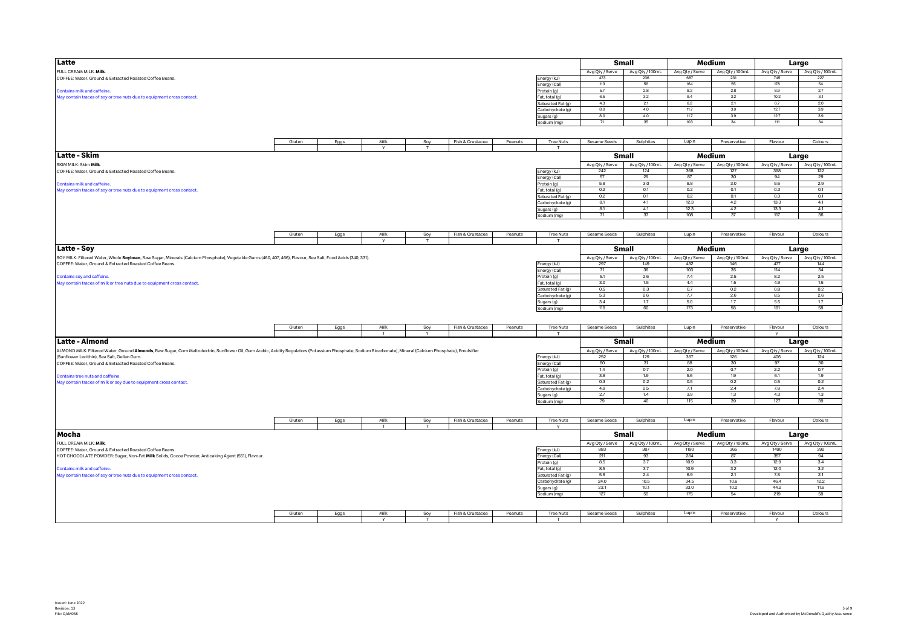| Latte                                                                                                                                                                                                      |        |      |        |              |                  |                |                   |                 | Small           |                 | Medium          |                 | Large                           |
|------------------------------------------------------------------------------------------------------------------------------------------------------------------------------------------------------------|--------|------|--------|--------------|------------------|----------------|-------------------|-----------------|-----------------|-----------------|-----------------|-----------------|---------------------------------|
|                                                                                                                                                                                                            |        |      |        |              |                  |                |                   |                 |                 |                 |                 |                 |                                 |
| FULL CREAM MILK: Milk.                                                                                                                                                                                     |        |      |        |              |                  |                |                   | Avg Qty / Serve | Avg Qty / 100mL | Avg Qty / Serve | Avg Qty / 100mL | Avg Qty / Serve | Avg Qty / 100mL                 |
| COFFEE: Water, Ground & Extracted Roasted Coffee Beans.                                                                                                                                                    |        |      |        |              |                  |                | Energy (kJ)       | 473             | 236             | 687             | 231             | 745             | 227                             |
|                                                                                                                                                                                                            |        |      |        |              |                  |                | Energy (Cal)      | 113             | 56              | 164             | 55              | 178             | 54                              |
| Contains milk and caffeine.                                                                                                                                                                                |        |      |        |              |                  |                | Protein (g)       | 57              | 2.8             | 8.2             | 28              | 8.9             | 2.7                             |
|                                                                                                                                                                                                            |        |      |        |              |                  |                |                   | 6.5             | 3.2             | 9.4             | 3.2             | 10.2            | 3.1                             |
| May contain traces of soy or tree nuts due to equipment cross contact.                                                                                                                                     |        |      |        |              |                  |                | Fat, total (g)    |                 |                 |                 |                 |                 |                                 |
|                                                                                                                                                                                                            |        |      |        |              |                  |                | Saturated Fat (g) | 4.3             | 2.1             | 6.2             | 2.1             | 6.7             | 2.0                             |
|                                                                                                                                                                                                            |        |      |        |              |                  |                | Carbohydrate (g)  | 8.0             | 4.0             | 11.7            | 3.9             | 12.7            | 3.9                             |
|                                                                                                                                                                                                            |        |      |        |              |                  |                | Sugars (g)        | 8.0             | 4.0             | 11.7            | 3.9             | 12.7            | 3.9                             |
|                                                                                                                                                                                                            |        |      |        |              |                  |                | Sodium (mg)       | 71              | 35              | 103             | 34              | 111             | 34                              |
|                                                                                                                                                                                                            |        |      |        |              |                  |                |                   |                 |                 |                 |                 |                 |                                 |
|                                                                                                                                                                                                            |        |      |        |              |                  |                |                   |                 |                 |                 |                 |                 |                                 |
|                                                                                                                                                                                                            |        |      |        |              |                  |                |                   |                 |                 |                 |                 |                 |                                 |
|                                                                                                                                                                                                            | Gluten | Eggs | Milk   | Soy          | Fish & Crustacea | Peanuts        | <b>Tree Nuts</b>  | Sesame Seeds    | Sulphites       | Lupin           | Preservative    | Flavour         | Colours                         |
|                                                                                                                                                                                                            |        |      | $\vee$ | $\mathbf{r}$ |                  |                | $\mathbf{T}$      |                 |                 |                 |                 |                 |                                 |
|                                                                                                                                                                                                            |        |      |        |              |                  |                |                   |                 |                 |                 |                 |                 |                                 |
| Latte - Skim                                                                                                                                                                                               |        |      |        |              |                  |                |                   |                 | Small           |                 | Medium          |                 | Large                           |
| SKIM MILK: Skim Milk.                                                                                                                                                                                      |        |      |        |              |                  |                |                   | Avg Qty / Serve | Avg Qty / 100mL | Avg Qty / Serve | Avg Qty / 100mL | Avg Qty / Serve | Avg Qty / 100mL                 |
|                                                                                                                                                                                                            |        |      |        |              |                  |                |                   | 242             | 124             | 368             | 127             | 398             | 122                             |
| COFFEE: Water, Ground & Extracted Roasted Coffee Beans.                                                                                                                                                    |        |      |        |              |                  |                | Energy (kJ)       |                 |                 |                 |                 |                 |                                 |
|                                                                                                                                                                                                            |        |      |        |              |                  |                | Energy (Cal)      | 57              | 29              | 87              | 30              | 94              | 29                              |
| Contains milk and caffeine                                                                                                                                                                                 |        |      |        |              |                  |                | Protein (g)       | 5.8             | 3.0             | 8.8             | 3.0             | 9.6             | 2.9                             |
| May contain traces of soy or tree nuts due to equipment cross contact.                                                                                                                                     |        |      |        |              |                  |                | Fat, total (g)    | 0.2             | 0.1             | 0.2             | 0.1             | 0.3             | 0.1                             |
|                                                                                                                                                                                                            |        |      |        |              |                  |                |                   | 0.2             | 0.1             |                 | 0.1             | 0.3             | 0.1                             |
|                                                                                                                                                                                                            |        |      |        |              |                  |                | Saturated Fat (g) |                 |                 | 0.2             |                 |                 |                                 |
|                                                                                                                                                                                                            |        |      |        |              |                  |                | Carbohydrate (g)  | 8.1             | 4.1             | 12.3            | 4.2             | 13.3            | 4.1                             |
|                                                                                                                                                                                                            |        |      |        |              |                  |                | Sugars (g)        | 8.1             | 4.1             | 12.3            | 4.2             | 13.3            | 4.1                             |
|                                                                                                                                                                                                            |        |      |        |              |                  |                | Sodium (mg)       | 71              | 37              | 108             | 37              | 117             | 36                              |
|                                                                                                                                                                                                            |        |      |        |              |                  |                |                   |                 |                 |                 |                 |                 |                                 |
|                                                                                                                                                                                                            |        |      |        |              |                  |                |                   |                 |                 |                 |                 |                 |                                 |
|                                                                                                                                                                                                            |        |      |        |              |                  |                |                   |                 |                 |                 |                 |                 |                                 |
|                                                                                                                                                                                                            | Gluten | Eggs | Milk   | Soy          | Fish & Crustacea | Peanuts        | <b>Tree Nuts</b>  | Sesame Seeds    | Sulphites       | Lupin           | Preservative    | Flavour         | Colours                         |
|                                                                                                                                                                                                            |        |      |        |              |                  |                | T                 |                 |                 |                 |                 |                 |                                 |
| <b>Latte - Soy</b>                                                                                                                                                                                         |        |      |        |              |                  |                |                   |                 |                 |                 | Medium          |                 |                                 |
|                                                                                                                                                                                                            |        |      |        |              |                  |                |                   |                 | Small           |                 |                 |                 | Large                           |
| SOY MILK: Filtered Water, Whole Soybean, Raw Sugar, Minerals (Calcium Phosphate), Vegetable Gums (460, 407, 466), Flavour, Sea Salt, Food Acids (340, 331).                                                |        |      |        |              |                  |                |                   | Avg Qty / Serve | Avg Qty / 100mL | Avg Qty / Serve | Avg Qty / 100mL |                 | Avg Qty / Serve Avg Qty / 100mL |
|                                                                                                                                                                                                            |        |      |        |              |                  |                |                   | 297             | 149             | 432             | 146             | 477             | 144                             |
| COFFEE: Water, Ground & Extracted Roasted Coffee Beans.                                                                                                                                                    |        |      |        |              |                  |                | Energy (kJ)       |                 |                 |                 |                 |                 |                                 |
|                                                                                                                                                                                                            |        |      |        |              |                  |                | Energy (Cal)      | 71              | 36              | 103             | 35              | 114             | 34                              |
| Contains soy and caffeine.                                                                                                                                                                                 |        |      |        |              |                  |                | Protein (g)       | 5.1             | 2.6             | 7.4             | 2.5             | 8.2             | 2.5                             |
| May contain traces of milk or tree nuts due to equipment cross contact.                                                                                                                                    |        |      |        |              |                  |                | Fat, total (g)    | 3.0             | 1.5             | 4.4             | 1.5             | 4.9             | 1.5                             |
|                                                                                                                                                                                                            |        |      |        |              |                  |                | Saturated Fat (g) | 0.5             | 0.3             | 0.7             | 0.2             | 0.8             | 0.2                             |
|                                                                                                                                                                                                            |        |      |        |              |                  |                |                   | 5.3             | 2.6             | 7.7             | 2.6             | 8.5             | 2.6                             |
|                                                                                                                                                                                                            |        |      |        |              |                  |                | Carbohydrate (g)  |                 |                 |                 |                 |                 |                                 |
|                                                                                                                                                                                                            |        |      |        |              |                  |                | Sugars (g)        | 3.4             | 1.7             | 5.0             | 1.7             | 5.5             | 1.7                             |
|                                                                                                                                                                                                            |        |      |        |              |                  |                | Sodium (mg)       | 119             | 60              | 173             | 58              | 191             | 58                              |
|                                                                                                                                                                                                            |        |      |        |              |                  |                |                   |                 |                 |                 |                 |                 |                                 |
|                                                                                                                                                                                                            |        |      |        |              |                  |                |                   |                 |                 |                 |                 |                 |                                 |
|                                                                                                                                                                                                            |        |      |        |              |                  |                |                   |                 |                 |                 |                 |                 |                                 |
|                                                                                                                                                                                                            | Gluten | Eggs | Milk   | Soy          | Fish & Crustacea | Peanuts        | <b>Tree Nuts</b>  | Sesame Seeds    | Sulphites       | Lupin           | Preservative    | Flavour         | Colours                         |
|                                                                                                                                                                                                            |        |      | T      | $\mathbf{v}$ |                  |                | $\mathbf{r}$      |                 |                 |                 |                 | $\mathbf{v}$    |                                 |
| Latte - Almond                                                                                                                                                                                             |        |      |        |              |                  |                |                   |                 | Small           |                 | Medium          |                 | Large                           |
|                                                                                                                                                                                                            |        |      |        |              |                  |                |                   |                 |                 |                 |                 |                 |                                 |
| ALMOND MILK: Filtered Water, Ground Almonds, Raw Sugar, Com Maltodextrin, Sunflower Oil, Gum Arabic, Acidity Regulators (Potassium Phosphate, Sodium Bicarbonate), Mineral (Calcium Phosphate), Emulsifier |        |      |        |              |                  |                |                   | Avg Qty / Serve | Avg Qty / 100mL | Avg Qty / Serve | Avg Qty / 100mL | Avg Qty / Serve | Avg Qty / 100mL                 |
| (Sunflower Lecithin), Sea Salt, Gellan Gum                                                                                                                                                                 |        |      |        |              |                  |                | Energy (kJ)       | 252             | 129             | 367             | 126             | 406             | 124                             |
|                                                                                                                                                                                                            |        |      |        |              |                  |                |                   | 60              | 31              | 88              | 30              | 97              | 30                              |
| COFFEE: Water, Ground & Extracted Roasted Coffee Beans.                                                                                                                                                    |        |      |        |              |                  |                | Energy (Cal)      |                 |                 |                 |                 |                 |                                 |
|                                                                                                                                                                                                            |        |      |        |              |                  |                | Protein (g)       | 1.4             | 0.7             | 2.0             | 0.7             | 2.2             | 0.7                             |
| Contains tree nuts and caffeine                                                                                                                                                                            |        |      |        |              |                  |                | Fat, total (g)    | 3.8             | 1.9             | 5.6             | 1.9             | 6.1             | 1.9                             |
| May contain traces of milk or soy due to equipment cross contact.                                                                                                                                          |        |      |        |              |                  |                | Saturated Fat (g) | 0.3             | 0.2             | 0.5             | 0.2             | 0.5             | 0.2                             |
|                                                                                                                                                                                                            |        |      |        |              |                  |                | Carbohydrate (g)  | 4.9             | 2.5             | 7.1             | 2.4             | 7.8             | 2.4                             |
|                                                                                                                                                                                                            |        |      |        |              |                  |                |                   | 2.7             | 1.4             | 3.9             | 1.3             | 4.3             | 1.3                             |
|                                                                                                                                                                                                            |        |      |        |              |                  |                | Sugars (g)        |                 |                 |                 |                 |                 |                                 |
|                                                                                                                                                                                                            |        |      |        |              |                  |                | Sodium (mg)       | 79              | 40              | 115             | 39              | 127             | 39                              |
|                                                                                                                                                                                                            |        |      |        |              |                  |                |                   |                 |                 |                 |                 |                 |                                 |
|                                                                                                                                                                                                            |        |      |        |              |                  |                |                   |                 |                 |                 |                 |                 |                                 |
|                                                                                                                                                                                                            | Gluten | Eggs | Milk   | Soy          | Fish & Crustacea | Peanuts        | <b>Tree Nuts</b>  | Sesame Seeds    | Sulphites       | Lupin           | Preservative    | Flavour         | Colours                         |
|                                                                                                                                                                                                            |        |      | T      |              |                  |                |                   |                 |                 |                 |                 |                 |                                 |
|                                                                                                                                                                                                            |        |      |        |              |                  |                |                   |                 |                 |                 |                 |                 |                                 |
| Mocha                                                                                                                                                                                                      |        |      |        |              |                  |                |                   |                 | Small           |                 | Medium          |                 | Large                           |
|                                                                                                                                                                                                            |        |      |        |              |                  |                |                   |                 |                 |                 |                 |                 |                                 |
| FULL CREAM MILK: Milk.                                                                                                                                                                                     |        |      |        |              |                  |                |                   | Avg Qty / Serve | Avg Qty / 100mL | Avg Qty / Serve | Avg Qty / 100mL | Avg Qty / Serve | Avg Qty / 100mL                 |
| COFFEE: Water, Ground & Extracted Roasted Coffee Beans.                                                                                                                                                    |        |      |        |              |                  |                | Energy (kJ)       | 883             | 387             | 1190            | 365             | 1490            | 392                             |
| HOT CHOCOLATE POWDER: Sugar, Non-Fat Milk Solids, Cocoa Powder, Anticaking Agent (551), Flavour.                                                                                                           |        |      |        |              |                  |                | Energy (Cal)      | 211             | 93              | 284             | 87              | 357             | 94                              |
|                                                                                                                                                                                                            |        |      |        |              |                  |                |                   | 8.5             | 3.7             | 10.9            | 3.3             | 12.9            | 3.4                             |
|                                                                                                                                                                                                            |        |      |        |              |                  |                | Protein (g)       |                 |                 |                 |                 |                 |                                 |
| <b>Contains milk and caffeine</b>                                                                                                                                                                          |        |      |        |              |                  |                | Fat, total (g)    | 8.5             | 3.7             | 10.9            | 3.2             | 12.0            | 3.2                             |
| May contain traces of soy or tree nuts due to equipment cross contact.                                                                                                                                     |        |      |        |              |                  |                | Saturated Fat (q) | 5.6             | 2.4             | 6.9             | 2.1             | 7.8             | 2.1                             |
|                                                                                                                                                                                                            |        |      |        |              |                  |                | Carbohydrate (g)  | 24.0            | 10.5            | 34.5            | 10.6            | 46.4            | 12.2                            |
|                                                                                                                                                                                                            |        |      |        |              |                  |                |                   | 23.1            | 10.1            | 33.0            | 10.2            | 44.2            | 11.6                            |
|                                                                                                                                                                                                            |        |      |        |              |                  |                | Sugars (g)        |                 |                 |                 |                 |                 |                                 |
|                                                                                                                                                                                                            |        |      |        |              |                  |                | Sodium (mg)       | 127             | 56              | 175             | 54              | 219             | 58                              |
|                                                                                                                                                                                                            |        |      |        |              |                  |                |                   |                 |                 |                 |                 |                 |                                 |
|                                                                                                                                                                                                            |        |      |        |              |                  |                |                   |                 |                 |                 |                 |                 |                                 |
|                                                                                                                                                                                                            | Gluten |      | Milk   |              | Fish & Crustacea | <b>Peanuts</b> | <b>Tree Nuts</b>  | Sesame Seeds    | Sulphites       | Lupin           | Preservative    | Flavour         | Colours                         |
|                                                                                                                                                                                                            |        | Eggs |        | Soy          |                  |                |                   |                 |                 |                 |                 |                 |                                 |
|                                                                                                                                                                                                            |        |      |        |              |                  |                | T.                |                 |                 |                 |                 | $\mathsf{Y}$    |                                 |
|                                                                                                                                                                                                            |        |      |        |              |                  |                |                   |                 |                 |                 |                 |                 |                                 |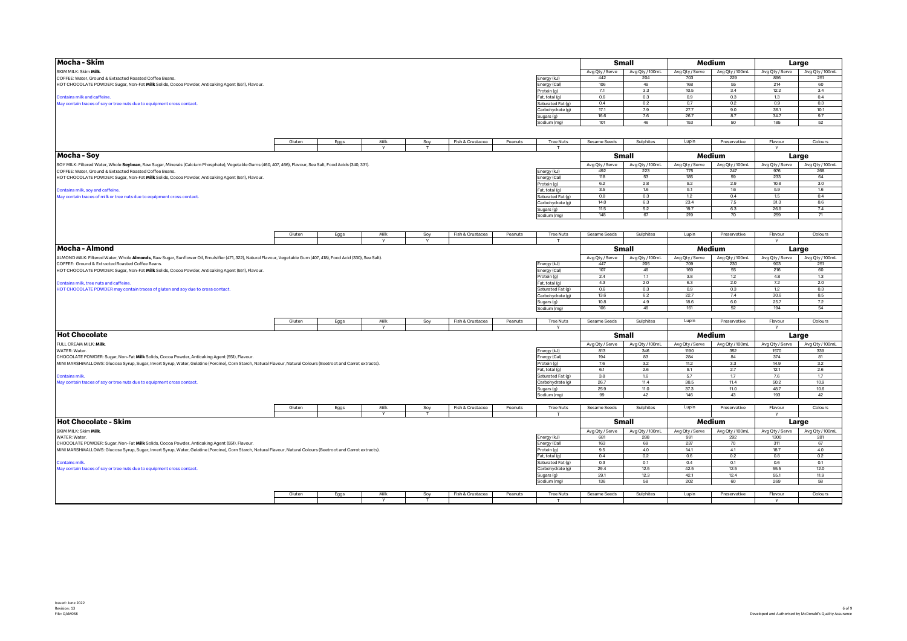| Mocha - Skim                                                                                                                                                       |        |      |      |              |                  |         |                             |                        | <b>Small</b>           |                        | Medium                 |                         | Large                  |
|--------------------------------------------------------------------------------------------------------------------------------------------------------------------|--------|------|------|--------------|------------------|---------|-----------------------------|------------------------|------------------------|------------------------|------------------------|-------------------------|------------------------|
| SKIM MILK: Skim Milk.                                                                                                                                              |        |      |      |              |                  |         |                             | Avg Qty / Serve        | Avg Qty / 100mL        | Avg Qty / Serve        | Avg Qty / 100mL        | Avg Qty / Serve         | Avg Qty / 100mL        |
| COFFEE: Water, Ground & Extracted Roasted Coffee Beans.                                                                                                            |        |      |      |              |                  |         | Energy (kJ)                 | 442                    | 204                    | 703                    | 229                    | 896                     | 251                    |
| HOT CHOCOLATE POWDER: Sugar, Non-Fat Milk Solids, Cocoa Powder, Anticaking Agent (551), Flavour.                                                                   |        |      |      |              |                  |         | Energy (Cal)                | 106                    | 49                     | 168                    | 55                     | 214                     | 60                     |
|                                                                                                                                                                    |        |      |      |              |                  |         | Protein (g)                 | 7.1                    | 3.3                    | 10.5                   | 3.4                    | 12.2                    | 3.4                    |
| Contains milk and caffeine.                                                                                                                                        |        |      |      |              |                  |         | Fat, total (g)              | 0.6                    | 0.3                    | 0.9                    | 0.3                    | 1.3                     | 0.4                    |
| May contain traces of soy or tree nuts due to equipment cross contact.                                                                                             |        |      |      |              |                  |         | Saturated Fat (g)           | 0.4                    | 0.2                    | 0.7                    | 0.2                    | 0.9                     | 0.3                    |
|                                                                                                                                                                    |        |      |      |              |                  |         | Carbohydrate (g)            | 17.1                   | 7.9                    | 27.7                   | 9.0                    | 36.1                    | 10.1                   |
|                                                                                                                                                                    |        |      |      |              |                  |         | Sugars (g)                  | 16.6                   | 7.6                    | 26.7                   | 8.7                    | 34.7                    | 9.7                    |
|                                                                                                                                                                    |        |      |      |              |                  |         | Sodium (mg)                 | 101                    | 46                     | 153                    | 50                     | 185                     | 52                     |
|                                                                                                                                                                    |        |      |      |              |                  |         |                             |                        |                        |                        |                        |                         |                        |
|                                                                                                                                                                    | Gluten | Eggs | Milk | Soy          | Fish & Crustacea | Peanuts | <b>Tree Nuts</b>            | Sesame Seeds           | Sulphites              | Lupin                  | Preservative           | Flavour                 | Colours                |
|                                                                                                                                                                    |        |      |      |              |                  |         | $^{\mathrm{T}}$             |                        |                        |                        |                        | Y                       |                        |
| Mocha - Soy                                                                                                                                                        |        |      |      |              |                  |         |                             |                        | Small                  |                        | Medium                 |                         | Large                  |
| SOY MILK: Filtered Water, Whole Soybean, Raw Sugar, Minerals (Calcium Phosphate), Vegetable Gums (460, 407, 466), Flavour, Sea Salt, Food Acids (340, 331).        |        |      |      |              |                  |         |                             | Avg Qty / Serve        | Avg Qty / 100mL        | Avg Qty / Serve        | Avg Qty / 100mL        | Avg Qty / Serve         | Avg Qty / 100mL        |
| COFFEE: Water, Ground & Extracted Roasted Coffee Beans.                                                                                                            |        |      |      |              |                  |         | Energy (kJ)                 | 492                    | 223                    | 775                    | 247                    | 976                     | 268                    |
| HOT CHOCOLATE POWDER: Sugar, Non-Fat Milk Solids, Cocoa Powder, Anticaking Agent (551), Flavour.                                                                   |        |      |      |              |                  |         | Energy (Cal)                | 118                    | 53                     | 185                    | 59                     | 233                     | 64                     |
|                                                                                                                                                                    |        |      |      |              |                  |         | Protein (g)                 | 6.2                    | 2.8                    | 9.2                    | 2.9                    | 10.8                    | $3.0\,$                |
| Contains milk, soy and caffeine                                                                                                                                    |        |      |      |              |                  |         | Fat, total (g)              | 3.5                    | 1.6                    | 5.1                    | 1.6                    | 5.9                     | 1.6                    |
| May contain traces of milk or tree nuts due to equipment cross contact.                                                                                            |        |      |      |              |                  |         | Saturated Fat (q)           | 0.8<br>14.0            | 0.3                    | 1.2                    | 0.4                    | 1.5                     | 0.4                    |
|                                                                                                                                                                    |        |      |      |              |                  |         | Carbohydrate (g)            |                        | 6.3                    | 23.4                   | 7.5                    | 31.3                    | 8.6                    |
|                                                                                                                                                                    |        |      |      |              |                  |         | Sugars (g)                  | 11.5                   | 5.2                    | 19.7                   | 6.3                    | 26.9                    | 7.4                    |
|                                                                                                                                                                    |        |      |      |              |                  |         | Sodium (mg)                 | 148                    | 67                     | 219                    | 70                     | 259                     | 71                     |
|                                                                                                                                                                    | Gluten | Eggs | Milk | Soy          | Fish & Crustacea | Peanuts | <b>Tree Nuts</b>            | Sesame Seeds           | Sulphites              | Lupin                  | Preservative           | Flavour                 | Colours                |
|                                                                                                                                                                    |        |      |      |              |                  |         |                             |                        |                        |                        |                        |                         |                        |
| Mocha - Almond                                                                                                                                                     |        |      |      |              |                  |         |                             |                        | Small                  |                        | Medium                 |                         | Large                  |
| ALMOND MILK: Filtered Water, Whole Almonds, Raw Sugar, Sunflower Oil, Emulsifier (471, 322), Natural Flavour, Vegetable Gum (407, 418), Food Acid (330), Sea Salt) |        |      |      |              |                  |         |                             | Avg Qty / Serve        | Avg Qty / 100mL        | Avg Qty / Serve        | Avg Qty / 100mL        | Avg Qty / Serve         | Avg Qty / 100mL        |
| COFFEE: Ground & Extracted Roasted Coffee Beans.                                                                                                                   |        |      |      |              |                  |         | Energy (kJ)                 | 447                    | 205                    | 709                    | 230                    | 903                     | 251                    |
| HOT CHOCOLATE POWDER: Sugar, Non-Fat Milk Solids, Cocoa Powder, Anticaking Agent (551), Flavour.                                                                   |        |      |      |              |                  |         | Energy (Cal)                | 107                    | 49                     | 169                    | 55                     | 216                     | 60                     |
|                                                                                                                                                                    |        |      |      |              |                  |         | Protein (g)                 | 2.4                    | 1.1                    | 3.8                    | 1.2                    | 4.8                     | 1.3                    |
| Contains milk, tree nuts and caffeine.                                                                                                                             |        |      |      |              |                  |         | Fat, total (g)              | 4.3                    | 2.0                    | 6.3                    | 2.0                    | 7.2                     | 2.0                    |
| HOT CHOCOLATE POWDER may contain traces of gluten and soy due to cross contact.                                                                                    |        |      |      |              |                  |         | Saturated Fat (g)           | 0.6                    | 0.3                    | 0.9                    | 0.3                    | 1.2                     | 0.3                    |
|                                                                                                                                                                    |        |      |      |              |                  |         | Carbohydrate (g)            | 13.6                   | 6.2                    | 22.7                   | 7.4                    | 30.6                    | 8.5                    |
|                                                                                                                                                                    |        |      |      |              |                  |         | Sugars (g)                  | 10.8                   | 4.9                    | 18.6                   | 6.0                    | 25.7                    | 7.2                    |
|                                                                                                                                                                    |        |      |      |              |                  |         | Sodium (mg)                 | 106                    | 49                     | 161                    | 52                     | 194                     | 54                     |
|                                                                                                                                                                    | Gluten | Eggs | Milk | Soy          | Fish & Crustacea | Peanuts | <b>Tree Nuts</b>            | Sesame Seeds           | Sulphites              | Lupin                  | Preservative           | Flavour                 | Colours                |
|                                                                                                                                                                    |        |      |      |              |                  |         | Y                           |                        |                        |                        |                        | Y                       |                        |
| <b>Hot Chocolate</b>                                                                                                                                               |        |      |      |              |                  |         |                             |                        | Small                  |                        | Medium                 |                         | Large                  |
| FULL CREAM MILK: Milk                                                                                                                                              |        |      |      |              |                  |         |                             | Avg Qty / Serve        | Avg Qty / 100mL        | Avg Qty / Serve        | Avg Qty / 100mL        | Avg Qty / Serve         | Avg Qty / 100mL        |
| WATER: Water.                                                                                                                                                      |        |      |      |              |                  |         | Energy (kJ)                 | 813                    | 346                    | 1190                   | 352                    | 1570                    | 339                    |
| CHOCOLATE POWDER: Sugar, Non-Fat Milk Solids, Cocoa Powder, Anticaking Agent (551), Flavour.                                                                       |        |      |      |              |                  |         | Energy (Cal)                | 194                    | 83                     | 284                    | 84                     | 374                     | 81                     |
| MINI MARSHMALLOWS: Glucose Syrup, Sugar, Invert Syrup, Water, Gelatine (Porcine), Corn Starch, Natural Flavour, Natural Colours (Beetroot and Carrot extracts).    |        |      |      |              |                  |         | Protein (g)                 | $7.6\,$                | 3.2                    | 11.2                   | $3.3\,$                | 14.9                    | 3.2                    |
|                                                                                                                                                                    |        |      |      |              |                  |         | Fat, total (g)              | 6.1                    | 2.6                    | 9.1                    | 2.7                    | 12.1                    | 2.6                    |
| <b>Contains milk</b>                                                                                                                                               |        |      |      |              |                  |         | Saturated Fat (q)           | 3.8                    | 1.6                    | 5.7                    | 1.7                    | 7.6                     | 1.7                    |
| May contain traces of soy or tree nuts due to equipment cross contact.                                                                                             |        |      |      |              |                  |         | Carbohydrate (g)            | 26.7                   | 11.4                   | 38.5                   | 11.4                   | 50.2                    | 10.9                   |
|                                                                                                                                                                    |        |      |      |              |                  |         | Sugars (g)                  | 25.9                   | 11.0                   | 37.3                   | 11.0                   | 48.7                    | 10.6                   |
|                                                                                                                                                                    |        |      |      |              |                  |         | Sodium (mg)                 | 99                     | 42                     | 146                    | 43                     | 193                     | 42                     |
|                                                                                                                                                                    | Gluten | Eggs | Milk | Soy          | Fish & Crustacea | Peanuts | <b>Tree Nuts</b>            | Sesame Seeds           | Sulphites              | Lupin                  | Preservative           | Flavour                 | Colours                |
|                                                                                                                                                                    |        |      |      | $\mathbf{r}$ |                  |         | л                           |                        |                        |                        |                        | $\vee$                  |                        |
| Hot Chocolate - Skim                                                                                                                                               |        |      |      |              |                  |         |                             |                        | Small                  |                        | Medium                 |                         | Large                  |
| SKIM MILK: Skim Milk.<br>WATER: Water.                                                                                                                             |        |      |      |              |                  |         |                             | Avg Qty / Serve<br>681 | Avg Qty / 100mL<br>288 | Avg Qty / Serve<br>991 | Avg Qty / 100mL<br>292 | Avg Qty / Serve<br>1300 | Avg Qty / 100mL<br>281 |
| CHOCOLATE POWDER: Sugar, Non-Fat Milk Solids, Cocoa Powder, Anticaking Agent (551), Flavour.                                                                       |        |      |      |              |                  |         | Energy (kJ)<br>Energy (Cal) | 163                    | 69                     | 237                    | 70                     | 311                     | 67                     |
| MINI MARSHMALLOWS: Glucose Syrup, Sugar, Invert Syrup, Water, Gelatine (Porcine), Corn Starch, Natural Flavour, Natural Colours (Beetroot and Carrot extracts).    |        |      |      |              |                  |         | Protein (g)                 | 9.5                    | 4.0                    | 14.1                   | 4.1                    | 18.7                    | 4.0                    |
|                                                                                                                                                                    |        |      |      |              |                  |         | Fat, total (g)              | 0.4                    | 0.2                    | 0.6                    | 0.2                    | 0.8                     | 0.2                    |
| <b>Contains milk</b>                                                                                                                                               |        |      |      |              |                  |         | Saturated Fat (g)           | 0.3                    | 0.1                    | 0.4                    | 0.1                    | 0.6                     | 0.1                    |
| May contain traces of soy or tree nuts due to equipment cross contact.                                                                                             |        |      |      |              |                  |         | Carbohydrate (g)            | 29.4                   | 12.5                   | 42.5                   | 12.5                   | 55.5                    | 12.0                   |
|                                                                                                                                                                    |        |      |      |              |                  |         | Sugars (g)                  | 29.1                   | 12.3                   | 42.1                   | 12.4                   | 55.1                    | 11.9                   |
|                                                                                                                                                                    |        |      |      |              |                  |         | Sodium (mg)                 | 136                    | 58                     | 202                    | 60                     | 269                     | 58                     |
|                                                                                                                                                                    |        |      |      |              |                  |         |                             |                        |                        |                        |                        |                         |                        |
|                                                                                                                                                                    | Gluten | Eggs | Milk | Soy          | Fish & Crustacea | Peanuts | <b>Tree Nuts</b><br>T       | Sesame Seeds           | Sulphites              | Lupin                  | Preservative           | Flavour                 | Colours                |
|                                                                                                                                                                    |        |      |      | T            |                  |         |                             |                        |                        |                        |                        | Y                       |                        |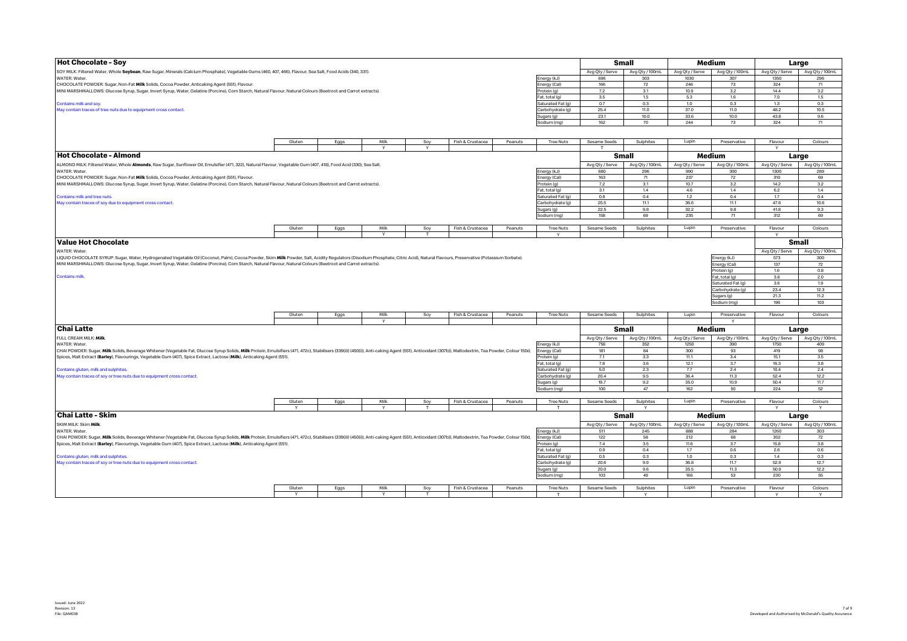| <b>Hot Chocolate - Soy</b>                                                                                                                                                                                                     |        |      |                |     |                  |         |                   |                 | <b>Small</b>    |                 | Medium            |                 | Large           |
|--------------------------------------------------------------------------------------------------------------------------------------------------------------------------------------------------------------------------------|--------|------|----------------|-----|------------------|---------|-------------------|-----------------|-----------------|-----------------|-------------------|-----------------|-----------------|
| SOY MILK: Filtered Water, Whole Soybean, Raw Sugar, Minerals (Calcium Phosphate), Vegetable Gums (460, 407, 466), Flavour, Sea Salt, Food Acids (340, 331).                                                                    |        |      |                |     |                  |         |                   | Avg Qty / Serve | Avg Qty / 100mL | Avg Qty / Serve | Avg Qty / 100mL   | Avg Qty / Serve | Avg Qty / 100mL |
| WATER: Water.                                                                                                                                                                                                                  |        |      |                |     |                  |         | Energy (kJ)       | 696             | 303             | 1030            | 307               | 1350            | 296             |
| CHOCOLATE POWDER: Sugar, Non-Fat Milk Solids, Cocoa Powder, Anticaking Agent (551), Flavour.                                                                                                                                   |        |      |                |     |                  |         | Energy (Cal)      | 166             | 72              | 246             | 73                | 324             | 71              |
| MINI MARSHMALLOWS: Glucose Syrup, Sugar, Invert Syrup, Water, Gelatine (Porcine), Corn Starch, Natural Flavour, Natural Colours (Beetroot and Carrot extracts).                                                                |        |      |                |     |                  |         | Protein (g)       | $7.2\,$         | 3.1             | 10.9            | $3.2\,$           | 14.4            | 3.2             |
|                                                                                                                                                                                                                                |        |      |                |     |                  |         | Fat, total (g)    | 3.5             | 1.5             | 5.3             | 1.6               | 7.0             | 1.5             |
| Contains milk and soy.                                                                                                                                                                                                         |        |      |                |     |                  |         | Saturated Fat (g) | 0.7             | 0.3             | 1.0             | 0.3               | 1.3             | 0.3             |
| May contain traces of tree nuts due to equipment cross contact.                                                                                                                                                                |        |      |                |     |                  |         | Carbohydrate (g)  | 25.4            | 11.0            | 37.0            | 11.0              | 48.2            | 10.5            |
|                                                                                                                                                                                                                                |        |      |                |     |                  |         | Sugars (g)        | 23.1            | 10.0            | 33.6            | 10.0              | 43.8            | 9.6             |
|                                                                                                                                                                                                                                |        |      |                |     |                  |         | Sodium (mg)       | 162             | 70              | 244             | 73                | 324             | 71              |
|                                                                                                                                                                                                                                |        |      |                |     |                  |         |                   |                 |                 |                 |                   |                 |                 |
|                                                                                                                                                                                                                                | Gluten | Eggs | Milk           | Soy | Fish & Crustacea | Peanuts | <b>Tree Nuts</b>  | Sesame Seeds    | Sulphites       | Lupin           | Preservative      | Flavour         | Colours         |
|                                                                                                                                                                                                                                |        |      |                |     |                  |         |                   |                 |                 |                 |                   |                 |                 |
| Hot Chocolate - Almond                                                                                                                                                                                                         |        |      |                |     |                  |         |                   |                 | Small           |                 | Medium            | Large           |                 |
| ALMOND MILK: Filtered Water, Whole Almonds, Raw Sugar, Sunflower Oil, Emulsifier (471, 322), Natural Flavour, Vegetable Gum (407, 418), Food Acid (330), Sea Salt.                                                             |        |      |                |     |                  |         |                   | Avg Qty / Serve | Avg Qty / 100mL | Avg Qty / Serve | Avg Qty / 100mL   | Avg Qty / Serve | Avg Qty / 100mL |
| WATER: Water                                                                                                                                                                                                                   |        |      |                |     |                  |         | Energy (kJ)       | 680             | 296             | 990             | 300               | 1300            | 289             |
| CHOCOLATE POWDER: Sugar, Non-Fat Milk Solids, Cocoa Powder, Anticaking Agent (551), Flavour.                                                                                                                                   |        |      |                |     |                  |         | Energy (Cal)      | 163             | 71              | 237             | 72                | 310             | 69              |
| MINI MARSHMALLOWS: Glucose Syrup, Sugar, Invert Syrup, Water, Gelatine (Porcine), Corn Starch, Natural Flavour, Natural Colours (Beetroot and Carrot extracts).                                                                |        |      |                |     |                  |         | Protein (g)       | 7.2             | 3.1             | 10.7            | 3.2               | 14.2            | 3.2             |
|                                                                                                                                                                                                                                |        |      |                |     |                  |         | Fat, total (g)    | 3.1             | 1.4             | 4.6             | 1.4               | 6.2             | 1.4             |
| Contains milk and tree nuts.                                                                                                                                                                                                   |        |      |                |     |                  |         | Saturated Fat (c  | 0.8             | 0.4             | 1.2             | 0.4               | 1.7             | 0.4             |
| May contain traces of soy due to equipment cross contact.                                                                                                                                                                      |        |      |                |     |                  |         | Carbohydrate (g)  | 25.5            | 11.1            | 36.6            | 11.1              | 47.6            | 10.6            |
|                                                                                                                                                                                                                                |        |      |                |     |                  |         |                   | 22.5            | 9.8             | 32.2            | 9.8               | 41.8            | 9.3             |
|                                                                                                                                                                                                                                |        |      |                |     |                  |         | Sugars (g)        | 158             | 69              | 235             | 71                | 312             | 69              |
|                                                                                                                                                                                                                                |        |      |                |     |                  |         | Sodium (mg)       |                 |                 |                 |                   |                 |                 |
|                                                                                                                                                                                                                                | Gluten | Eggs | Milk           | Soy | Fish & Crustacea | Peanuts | <b>Tree Nuts</b>  | Sesame Seeds    | Sulphites       | Lupin           | Preservative      | Flavour         | Colours         |
|                                                                                                                                                                                                                                |        |      | $\mathsf{v}$   | T   |                  |         | $\vee$            |                 |                 |                 |                   |                 |                 |
| <b>Value Hot Chocolate</b>                                                                                                                                                                                                     |        |      |                |     |                  |         |                   |                 |                 |                 |                   |                 | <b>Small</b>    |
| WATER: Water.                                                                                                                                                                                                                  |        |      |                |     |                  |         |                   |                 |                 |                 |                   | Avg Qty / Serve | Avg Qty / 100mL |
| LIQUID CHOCOLATE SYRUP: Sugar, Water, Hydrogenated Vegetable Oil (Coconut, Palm), Cocoa Powder, Skim Milk Powder, Salt, Acidity Regulators (Disodium Phosphate, Citric Acid), Natural Flavours, Preservative (Potassium Sorbat |        |      |                |     |                  |         |                   |                 |                 |                 | Energy (kJ)       |                 | 300             |
| MINI MARSHMALLOWS: Glucose Syrup, Sugar, Invert Syrup, Water, Gelatine (Porcine), Corn Starch, Natural Flavour, Natural Colours (Beetroot and Carrot extracts).                                                                |        |      |                |     |                  |         |                   |                 |                 |                 |                   | 573<br>137      | 72              |
|                                                                                                                                                                                                                                |        |      |                |     |                  |         |                   |                 |                 |                 | Energy (Cal)      |                 |                 |
|                                                                                                                                                                                                                                |        |      |                |     |                  |         |                   |                 |                 |                 | Protein (g)       | 1.6<br>3.8      | 0.8<br>2.0      |
| <b>Contains milk</b>                                                                                                                                                                                                           |        |      |                |     |                  |         |                   |                 |                 |                 | Fat, total (g)    |                 |                 |
|                                                                                                                                                                                                                                |        |      |                |     |                  |         |                   |                 |                 |                 | Saturated Fat (g) | 3.6             | 1.9             |
|                                                                                                                                                                                                                                |        |      |                |     |                  |         |                   |                 |                 |                 | Carbohydrate (q)  | 23.4            | 12.3            |
|                                                                                                                                                                                                                                |        |      |                |     |                  |         |                   |                 |                 |                 | Sugars (g)        | 21.3            | 11.2            |
|                                                                                                                                                                                                                                |        |      |                |     |                  |         |                   |                 |                 |                 | Sodium (mg)       | 196             | 103             |
|                                                                                                                                                                                                                                |        |      |                |     |                  |         |                   |                 |                 |                 |                   |                 |                 |
|                                                                                                                                                                                                                                | Gluten | Eggs | Milk<br>$\vee$ | Soy | Fish & Crustacea | Peanuts | <b>Tree Nuts</b>  | Sesame Seeds    | Sulphites       | Lupin           | Preservative      | Flavour         | Colours         |
|                                                                                                                                                                                                                                |        |      |                |     |                  |         |                   |                 |                 |                 |                   |                 |                 |
| <b>Chai Latte</b>                                                                                                                                                                                                              |        |      |                |     |                  |         |                   |                 | Small           |                 | Medium            |                 | Large           |
| FULL CREAM MILK: Milk                                                                                                                                                                                                          |        |      |                |     |                  |         |                   | Avg Qty / Serve | Avg Qty / 100mL | Avg Qty / Serve | Avg Qty / 100mL   | Avg Qty / Serve | Avg Qty / 100mL |
| WATER: Water.                                                                                                                                                                                                                  |        |      |                |     |                  |         | Energy (kJ)       | 756             | 352             | 1250            | 390               | 1750            | 409             |
| CHAI POWDER: Sugar, Milk Solids, Beverage Whitener (Vegetable Fat, Glucose Syrup Solids, Milk Protein, Emulsifiers (471, 472c), Stabilisers (339(ii)) (450(i)), Anti-caking Agent (551), Antioxidant (307b)), Maltodextrin, Te |        |      |                |     |                  |         | Energy (Cal)      | 181             | 84              | 300             | 93                | 419             | 98              |
| Spices, Malt Extract (Barley), Flavourings, Vegetable Gum (407), Spice Extract, Lactose (Milk), Anticaking Agent (551).                                                                                                        |        |      |                |     |                  |         | Protein (g)       | 7.1             | 3.3             | 11.1            | 3.4               | 15.1            | 3.5             |
|                                                                                                                                                                                                                                |        |      |                |     |                  |         | Fat, total (g)    | 7.8             | 3.6             | 12.1            | 3.7               | 16.3            | 3.8             |
| Contains gluten, milk and sulphites.                                                                                                                                                                                           |        |      |                |     |                  |         | Saturated Fat (g) | 5.0             | 2.3             | 7.7             | 2.4               | 10.4            | 2.4             |
| May contain traces of soy or tree nuts due to equipment cross contact.                                                                                                                                                         |        |      |                |     |                  |         | Carbohydrate (g)  | 20.4            | 9.5             | 36.4            | 11.3              | 52.4            | 12.2            |
|                                                                                                                                                                                                                                |        |      |                |     |                  |         | Sugars (g)        | 19.7            | 9.2             | 35.0            | 10.9              | 50.4            | 11.7            |
|                                                                                                                                                                                                                                |        |      |                |     |                  |         | Sodium (mg)       | 100             | 47              | 162             | 50                | 224             | 52              |
|                                                                                                                                                                                                                                |        |      |                |     |                  |         |                   |                 |                 |                 |                   |                 |                 |
|                                                                                                                                                                                                                                | Gluten | Eggs | Milk           | Soy | Fish & Crustacea | Peanuts | <b>Tree Nuts</b>  | Sesame Seeds    | Sulphites       | Lupin           | Preservative      | Flavour         | Colours         |
|                                                                                                                                                                                                                                | Y      |      |                |     |                  |         | т.                |                 | Y               |                 |                   | $\mathsf{Y}$    | Y               |
| Chai Latte - Skim                                                                                                                                                                                                              |        |      |                |     |                  |         |                   |                 | Small           |                 | Medium            |                 | Large           |
| SKIM MILK: Skim Milk.                                                                                                                                                                                                          |        |      |                |     |                  |         |                   | Avg Qty / Serve | Avg Qty / 100mL | Avg Qty / Serve | Avg Qty / 100mL   | Avg Qty / Serve | Avg Qty / 100mL |
| WATER: Water.                                                                                                                                                                                                                  |        |      |                |     |                  |         | Energy (kJ)       | 511             | 245             | 888             | 284               | 1260            | 303             |
| CHAI POWDER: Sugar, Milk Solids, Beverage Whitener (Vegetable Fat, Glucose Syrup Solids, Milk Protein, Emulsifiers (471, 472c), Stabilisers (339(ii)) (450(i)), Anti-caking Agent (551), Antioxidant (307b)), Maltodextrin, Te |        |      |                |     |                  |         |                   | 122             | 58              | 212             | 68                | 302             | 72              |
|                                                                                                                                                                                                                                |        |      |                |     |                  |         | Energy (Cal)      |                 |                 |                 |                   |                 |                 |
| Spices, Malt Extract (Barley), Flavourings, Vegetable Gum (407), Spice Extract, Lactose (Milk), Anticaking Agent (551).                                                                                                        |        |      |                |     |                  |         | Protein (g)       | 7.4             | 3.5             | 11.6            | 3.7               | 15.8            | 3.8             |
|                                                                                                                                                                                                                                |        |      |                |     |                  |         | Fat. total (g)    | 0.9<br>0.5      | 0.4<br>0.3      | 1.7<br>1.0      | 0.6<br>0.3        | 2.6<br>1.4      | 0.6             |
| Contains gluten, milk and sulphites.                                                                                                                                                                                           |        |      |                |     |                  |         | Saturated Fat (q) |                 |                 |                 |                   |                 | 0.3             |
| May contain traces of soy or tree nuts due to equipment cross contact.                                                                                                                                                         |        |      |                |     |                  |         | Carbohydrate (g)  | 20.6            | 9.9             | 36.8            | 11.7              | 52.9            | 12.7            |
|                                                                                                                                                                                                                                |        |      |                |     |                  |         | Sugars (g)        | 20.0            | 9.6             | 35.5            | 11.3              | 50.9            | 12.2            |
|                                                                                                                                                                                                                                |        |      |                |     |                  |         | Sodium (mg)       | 103             | 49              | 166             | 53                | 230             | 55              |
|                                                                                                                                                                                                                                | Gluten | Eggs | Milk           | Soy | Fish & Crustacea | Peanuts | <b>Tree Nuts</b>  | Sesame Seeds    | Sulphites       | Lupin           | Preservative      | Flavour         | Colours         |
|                                                                                                                                                                                                                                | Y      |      | Y              | T   |                  |         | $\mathbf{r}$      |                 | $\vee$          |                 |                   | $\mathsf{v}$    | Y               |
|                                                                                                                                                                                                                                |        |      |                |     |                  |         |                   |                 |                 |                 |                   |                 |                 |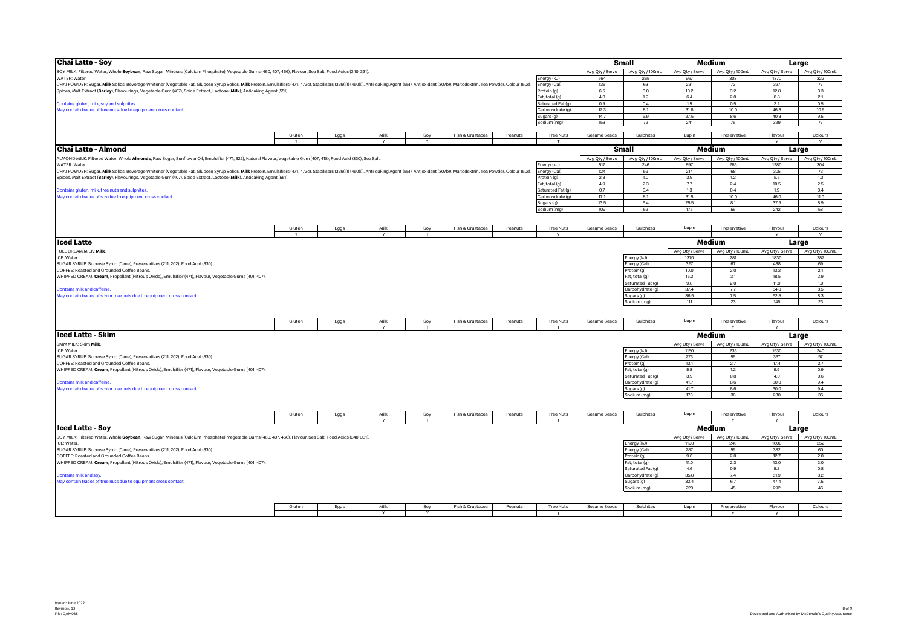| <b>Chai Latte - Soy</b>                                                                                                                                                                                                        |        |      |              |          |                  |         |                           |                 | <b>Small</b>      |                         | Medium                 |                         | Large                    |
|--------------------------------------------------------------------------------------------------------------------------------------------------------------------------------------------------------------------------------|--------|------|--------------|----------|------------------|---------|---------------------------|-----------------|-------------------|-------------------------|------------------------|-------------------------|--------------------------|
| SOY MILK: Filtered Water, Whole Soybean, Raw Sugar, Minerals (Calcium Phosphate), Vegetable Gums (460, 407, 466), Flavour, Sea Salt, Food Acids (340, 331).                                                                    |        |      |              |          |                  |         |                           | Avg Qty / Serve | Avg Qty / 100mL   | Avg Qty / Serve         | Avg Qty / 100mL        | Avg Qty / Serve         | Avg Qty / 100mL          |
| WATER: Water.                                                                                                                                                                                                                  |        |      |              |          |                  |         | Energy (kJ)               | 564             | 265               | 967                     | 303                    | 1370                    | 322                      |
| CHAI POWDER: Sugar, Milk Solids, Beverage Whitener (Vegetable Fat, Glucose Syrup Solids, Milk Protein, Emulsifiers (471, 472c), Stabilisers (339(ii)) (450(ii)), Anti-caking Agent (551), Antioxidant (307b)), Maltodextrin, T |        |      |              |          |                  |         | nergy (Cal)               | 135             | 63                | 231                     | 72                     | 327                     | 77                       |
| Spices, Malt Extract (Barley), Flavourings, Vegetable Gum (407), Spice Extract, Lactose (Milk), Anticaking Agent (551).                                                                                                        |        |      |              |          |                  |         | Protein (g)               | 6.5             | 3.0               | 10.2                    | 3.2                    | 12.8                    | 3.3                      |
|                                                                                                                                                                                                                                |        |      |              |          |                  |         | Fat, total (g)            | 4.0             | 1.9               | 6.4                     | 2.0                    | 8.8                     | 2.1                      |
| Contains gluten, milk, soy and sulphites.                                                                                                                                                                                      |        |      |              |          |                  |         | Saturated Fat (g          | 0.9             | 0.4               | 1.5                     | 0.5                    | 2.2                     | 0.5                      |
| May contain traces of tree nuts due to equipment cross contact.                                                                                                                                                                |        |      |              |          |                  |         | Carbohydrate (g)          | 17.3            | 8.1               | 31.8                    | 10.0                   | 46.3                    | 10.9                     |
|                                                                                                                                                                                                                                |        |      |              |          |                  |         | Sugars (g)                | 14.7            | 6.9               | 27.5                    | 8.6                    | 40.3                    | 9.5                      |
|                                                                                                                                                                                                                                |        |      |              |          |                  |         | Sodium (mg)               | 153             | 72                | 241                     | 76                     | 329                     | 77                       |
|                                                                                                                                                                                                                                |        |      |              |          |                  |         |                           |                 |                   |                         |                        |                         |                          |
|                                                                                                                                                                                                                                | Gluten | Eggs | Milk         | Soy      | Fish & Crustacea | Peanuts | <b>Tree Nuts</b>          | Sesame Seeds    | Sulphites         | Lupin                   | Preservative           | Flavour                 | Colours                  |
|                                                                                                                                                                                                                                |        |      | $\mathbf{v}$ | v        |                  |         | $\mathbf{r}$              |                 |                   |                         |                        |                         |                          |
| Chai Latte - Almond                                                                                                                                                                                                            |        |      |              |          |                  |         |                           |                 | Small             |                         | Medium                 |                         | Large                    |
| ALMOND MILK: Filtered Water, Whole Almonds, Raw Sugar, Sunflower Oil, Emulsifier (471, 322), Natural Flavour, Vegetable Gum (407, 418), Food Acid (330), Sea Salt.                                                             |        |      |              |          |                  |         |                           | Avg Qty / Serve | Avg Qty / 100mL   | Avg Qty / Serve         | Avg Qty / 100mL        | Avg Qty / Serve         | Avg Qty / 100mL          |
| <b>WATER: Water</b>                                                                                                                                                                                                            |        |      |              |          |                  |         | Energy (kJ)               | 517             | 246               | 897                     | 285                    | 1280                    | 304                      |
| CHAI POWDER: Sugar, Milk Solids, Beverage Whitener (Vegetable Fat, Glucose Syrup Solids, Milk Protein, Emulsifiers (471, 472c), Stabilisers (339(ii)) (450(i)), Anti-caking Agent (551), Antioxidant (307b)), Maltodextrin, Te |        |      |              |          |                  |         | nergy (Cal)               | 124             | 59                | 214                     | 68                     | 305                     | 73                       |
| Spices, Malt Extract (Barley), Flavourings, Vegetable Gum (407), Spice Extract, Lactose (Milk), Anticaking Agent (551).                                                                                                        |        |      |              |          |                  |         | Protein (g)               | 2.3             | 1.0               | 3.9                     | 1.2                    | 5.5                     | 1.3                      |
|                                                                                                                                                                                                                                |        |      |              |          |                  |         | Fat, total (g)            | 4.9             | 2.3               | 7.7                     | 2.4                    | 10.5                    | 2.5                      |
| Contains gluten, milk, tree nuts and sulphites.                                                                                                                                                                                |        |      |              |          |                  |         | Saturated Fat (q)         | 0.7             | 0.4               | 1.3                     | 0.4                    | 1.9                     | 0.4                      |
| May contain traces of soy due to equipment cross contact.                                                                                                                                                                      |        |      |              |          |                  |         | Carbohydrate (q)          | 17.1<br>13.5    | 8.1<br>6.4        | 31.5<br>25.5            | 10.0<br>8.1            | 46.0<br>37.5            | 11.0<br>8.9              |
|                                                                                                                                                                                                                                |        |      |              |          |                  |         | Sugars (g)<br>Sodium (mg) | 109             | 52                | 175                     | 56                     | 242                     | 58                       |
|                                                                                                                                                                                                                                |        |      |              |          |                  |         |                           |                 |                   |                         |                        |                         |                          |
|                                                                                                                                                                                                                                |        |      |              |          |                  |         |                           |                 |                   |                         |                        |                         |                          |
|                                                                                                                                                                                                                                | Gluten | Eggs | Milk         | Soy      | Fish & Crustacea | Peanuts | <b>Tree Nuts</b>          | Sesame Seeds    | Sulphites         | Lupin                   | Preservative           | Flavour                 | Colours                  |
| <b>Iced Latte</b>                                                                                                                                                                                                              | Y      |      | Y            | т        |                  |         | $\vee$                    |                 |                   |                         | Medium                 | $\vee$                  | Y<br>Large               |
| FULL CREAM MILK: Milk                                                                                                                                                                                                          |        |      |              |          |                  |         |                           |                 |                   | Avg Qty / Serve         | Avg Qty / 100mL        | Avg Qty / Serve         | Avg Qty / 100mL          |
| ICF: Water.                                                                                                                                                                                                                    |        |      |              |          |                  |         |                           |                 | Energy (kJ)       | 1370                    | 281                    | 1830                    | 287                      |
| SUGAR SYRUP: Sucrose Syrup (Cane), Preservatives (211, 202), Food Acid (330).                                                                                                                                                  |        |      |              |          |                  |         |                           |                 | Energy (Cal)      | 327                     | 67                     | 438                     | 69                       |
| COFFEE: Roasted and Grounded Coffee Beans                                                                                                                                                                                      |        |      |              |          |                  |         |                           |                 | Protein (g)       | 10.0                    | 2.0                    | 13.2                    | 2.1                      |
| WHIPPED CREAM: Cream, Propellant (Nitrous Oxide), Emulsifier (471), Flavour, Vegetable Gums (401, 407).                                                                                                                        |        |      |              |          |                  |         |                           |                 | Fat, total (g)    | 15.2                    | 3.1                    | 18.5                    | 2.9                      |
|                                                                                                                                                                                                                                |        |      |              |          |                  |         |                           |                 | Saturated Fat (g) | 9.8                     | 2.0                    | 11.9                    | 1.9                      |
| <b>Contains milk and caffeine</b>                                                                                                                                                                                              |        |      |              |          |                  |         |                           |                 | Carbohydrate (g)  | 37.4                    | 7.7                    | 54.0                    | 8.5                      |
| May contain traces of soy or tree nuts due to equipment cross contact.                                                                                                                                                         |        |      |              |          |                  |         |                           |                 | Sugars (g)        | 36.5                    | 7.5                    | 52.8                    | 8.3                      |
|                                                                                                                                                                                                                                |        |      |              |          |                  |         |                           |                 | Sodium (mg)       | 111                     | 23                     | 146                     | 23                       |
|                                                                                                                                                                                                                                |        |      |              |          |                  |         |                           |                 |                   |                         |                        |                         |                          |
|                                                                                                                                                                                                                                | Gluten | Eggs | Milk         | Soy      | Fish & Crustacea | Peanuts | <b>Tree Nuts</b>          | Sesame Seeds    | Sulphites         | Lupin                   | Preservative           | Flavour                 | Colours                  |
|                                                                                                                                                                                                                                |        |      |              |          |                  |         |                           |                 |                   |                         |                        | Y                       |                          |
| l Iced Latte - Skim                                                                                                                                                                                                            |        |      |              |          |                  |         |                           |                 |                   |                         | Medium                 |                         | Large                    |
| SKIM MILK: Skim Milk                                                                                                                                                                                                           |        |      |              |          |                  |         |                           |                 |                   | Avg Qty / Serve         | Avg Qty / 100mL        | Avg Qty / Serve         | Avg Qty / 100mL          |
| ICE: Water.                                                                                                                                                                                                                    |        |      |              |          |                  |         |                           |                 | Energy (kJ)       | 1150                    | 235                    | 1530                    | 240                      |
| SUGAR SYRUP: Sucrose Syrup (Cane), Preservatives (211, 202), Food Acid (330).                                                                                                                                                  |        |      |              |          |                  |         |                           |                 | Energy (Cal)      | 273                     | 56                     | 367                     | 57                       |
| COFFEE: Roasted and Grounded Coffee Beans.                                                                                                                                                                                     |        |      |              |          |                  |         |                           |                 | Protein (g)       | 13.1                    | 2.7                    | 17.4                    | 2.7                      |
| WHIPPED CREAM: Cream, Propellant (Nitrous Oxide), Emulsifier (471), Flavour, Vegetable Gums (401, 407).                                                                                                                        |        |      |              |          |                  |         |                           |                 | Fat, total (g)    | 5.8                     | 1.2                    | 5.9                     | 0.9                      |
|                                                                                                                                                                                                                                |        |      |              |          |                  |         |                           |                 | Saturated Fat (g) | 3.9                     | 0.8                    | 4.0                     | 0.6                      |
| Contains milk and caffeine.                                                                                                                                                                                                    |        |      |              |          |                  |         |                           |                 | Carbohydrate (q)  | 41.7                    | 8.6                    | 60.0                    | 9.4                      |
| May contain traces of soy or tree nuts due to equipment cross contact.                                                                                                                                                         |        |      |              |          |                  |         |                           |                 | Sugars (g)        | 41.7                    | 8.6                    | 60.0                    | 9.4                      |
|                                                                                                                                                                                                                                |        |      |              |          |                  |         |                           |                 | Sodium (mg)       | 173                     | 36                     | 230                     | 36                       |
|                                                                                                                                                                                                                                |        |      |              |          |                  |         |                           |                 |                   |                         |                        |                         |                          |
|                                                                                                                                                                                                                                | Gluten | Eggs | Milk         | Soy      | Fish & Crustacea | Peanuts | <b>Tree Nuts</b>          | Sesame Seeds    | Sulphites         | Lupin                   | Preservative           | Flavour                 | Colours                  |
| <b>Iced Latte - Soy</b>                                                                                                                                                                                                        |        |      |              |          |                  |         |                           |                 |                   |                         | Medium                 | <b>V</b>                |                          |
| SOY MILK: Filtered Water, Whole Soybean, Raw Sugar, Minerals (Calcium Phosphate), Vegetable Gums (460, 407, 466), Flavour, Sea Salt, Food Acids (340, 331).                                                                    |        |      |              |          |                  |         |                           |                 |                   |                         |                        |                         | Large<br>Avg Qty / 100mL |
| ICE: Water.                                                                                                                                                                                                                    |        |      |              |          |                  |         |                           |                 | Energy (kJ)       | Avg Qty / Serve<br>1190 | Avg Qty / 100mL<br>246 | Avg Qty / Serve<br>1600 | 252                      |
| SUGAR SYRUP: Sucrose Syrup (Cane), Preservatives (211, 202), Food Acid (330).                                                                                                                                                  |        |      |              |          |                  |         |                           |                 | Energy (Cal)      | 287                     | 59                     | 382                     | 60                       |
| COFFEE: Roasted and Grounded Coffee Beans.                                                                                                                                                                                     |        |      |              |          |                  |         |                           |                 | Protein (g)       | 9.6                     | 2.0                    | 12.7                    | 2.0                      |
| WHIPPED CREAM: Cream, Propellant (Nitrous Oxide), Emulsifier (471), Flavour, Vegetable Gums (401, 407).                                                                                                                        |        |      |              |          |                  |         |                           |                 | Fat, total (g)    | 11.0                    | 2.3                    | 13.0                    | 2.0                      |
|                                                                                                                                                                                                                                |        |      |              |          |                  |         |                           |                 | Saturated Fat (g) | 4.6                     | 0.9                    | 5.2                     | 0.8                      |
| Contains milk and soy.                                                                                                                                                                                                         |        |      |              |          |                  |         |                           |                 | Carbohydrate (g)  | 35.8                    | 7.4                    | 51.9                    | 8.2                      |
| May contain traces of tree nuts due to equipment cross contact                                                                                                                                                                 |        |      |              |          |                  |         |                           |                 | Sugars (g)        | 32.4                    | 6.7                    | 47.4                    | 7.5                      |
|                                                                                                                                                                                                                                |        |      |              |          |                  |         |                           |                 | Sodium (mg)       | 220                     | 45                     | 292                     | 46                       |
|                                                                                                                                                                                                                                |        |      |              |          |                  |         |                           |                 |                   |                         |                        |                         |                          |
|                                                                                                                                                                                                                                | Gluten | Eggs | Milk         | Soy      | Fish & Crustacea | Peanuts | <b>Tree Nuts</b>          | Sesame Seeds    | Sulphites         | Lupin                   | Preservative           | Flavour                 | Colours                  |
|                                                                                                                                                                                                                                |        |      | $\vee$       | <b>V</b> |                  |         |                           |                 |                   |                         | $\sqrt{}$              | $\vee$                  |                          |
|                                                                                                                                                                                                                                |        |      |              |          |                  |         |                           |                 |                   |                         |                        |                         |                          |